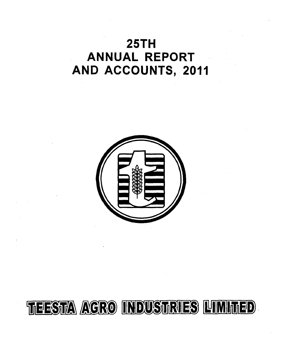# 2 5 **TH ANNUAL REPORT AND ACCOUNTS, 2011**



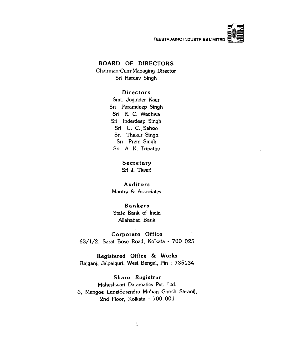

### **BOARD OF DIRECTORS**

**Chairman-Cum-Managing Director Sri Hardev Singh**

#### **D ir e c t o r s**

**Smt. Joginder Kaur Sri Paramdeep Singh Sri R. C. Wadhwa Sri Inderdeep Singh Sri U. C. Sahoo Sri Thakur Singh Sri Prem Singh Sri A. K. Tripathy**

> Secretary **Sri J. Tiwari**

### **A u d it o r s**

**Mantry & Associates**

### **B a n k e r s**

**State Bank of India Allahabad Bank**

**Corporate Office** 63/1/2, Sarat Bose Road, Kolkata - 700 025

**R eg istered O ffice & W orks Rajganj, Jalpaiguri, West Bengal, Pin : 7 3 5 1 3 4**

**Share Registrar Maheshwari Datamatics Pvt. Ltd. 6, Mangoe Lane(Surendra Mohan Ghosh Sarani),** 2nd Floor, Kolkata - 700 001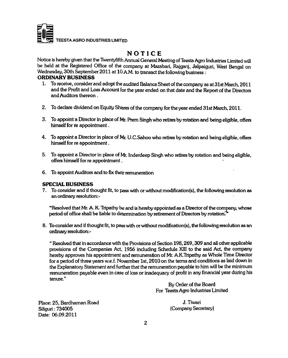

### **NOTICE**

Notice is hereby given that the Twentyfifth Annual General Meeting of Teesta Agro Industries Limited will **be held at the Registered Office of the company at Mazabari, Rajganj, Jalpaiguri, West Bengal on Wednesday, 30th September 2011 at 10 A.M. to transact the following business :**

#### **ORDINARY BUSINESS**

- **1. To receive, consider and adopt the audited Balance Sheet of the company as at 31st March, 2011 and the Profit and Loss Account for the year ended on that date and the Report of the Directors and Auditors thereon.**
- **2. To declare dividend on Equity Shares of the company for the year ended 31st March, 2011.**
- 3. To appoint a Director in place of Mr. Prem Singh who retires by rotation and being eligible, offers **himself for re appointment.**
- **4. To appoint a Director in place of Mr. U.C.Sahoo who retires by rotation and being eligible, offers himself for re appointment.**
- **5. To appoint a Director in place of Mr. Inderdeep Singh who retires by rotation and being eligible, offers himself for re appointment,**
- **6. To appoint Auditors and to fix their remuneration**

### **SPECIAL BUSINESS**

**7. To consider and if thought fit, to pass with or without modification(s), the following resolution as** an ordinary resolution:-

**"Resolvcd that Mr. A. K. Tripathy be and is hereby appointed as a Director of the company, whose** period of office shall be liable to determination by retirement of Directors by rotation.<sup>7</sup>

**8. Tocpnsider and if thought fit, to passunth or vwthout modification(s), the following resolution as ein** ordinary resolution:-

**" Resolved that in accordance with the Provisions of Section 198,269,309 and all other applicable provisions of the Companies Act, 1956 including Schedule XIII to the said Act, the company hereby approves his appointment and remuneration of Mr. A.K.Tripathy as Whole Time Director for a period of three years w.e.f. November 1st, 2010 on the terms and conditions as laid down in the ^planatory Statement and further that the remuneration payable to him will be the minimum remuneration payable even in case of loss or inadequacy of profit in any fineincial year during his tenure."**

> **By Order of the Board For Teesta Agro Industries Limited**

**Place: 25, Bardhaman Road J. Tiwari Siliguri: 734005 (Company Secretary) Date: 06.09.2011**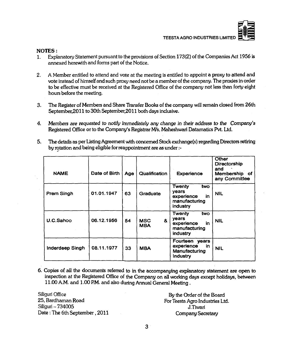#### **NOTES:**

- **1. Explanatory Statement pursuant to the provisions of Section 173(2) of the Companies Act 1956 is annexed herewith and forms part of the Notice.**
- **2. A Member entitled to attend and vote at the meeting is entitled to appoint a proxy to attend and vote instead of himself and such proxy need not be a member of the company. The proxies in order to be effective must be received at the Registered Office of the company not less than forty eight hours before the meeting.**
- **3. The Register of Members and Share Transfer Books of the company will remain closed from 26th September,2011 to 30th September,2011 both days inclusive.**
- **4. Members are** *requested to notify immediately any change in their address to the Company's* **Registered Office or to the Company's Registrar** *M/s.* **Maheshwari Datamatics Pvt. Ltd.**
- **5. The details as per Listing Agreement with concerned Stock exchange(s) regarding Directors retiring by rotation and being eligible for reappointment are as under**

| <b>NAME</b>     | Date of Birth | Age | <b>Qualification</b>          | <b>Experience</b>                                                              | <b>Other</b><br>Directorship<br>and<br>Membership of<br>any Committee |
|-----------------|---------------|-----|-------------------------------|--------------------------------------------------------------------------------|-----------------------------------------------------------------------|
| Prem Singh      | 01.01.1947    | 63  | Graduate                      | <b>Twenty</b><br>two<br>years<br>experience<br>in<br>manufacturing<br>industry | <b>NIL</b>                                                            |
| U.C.Sahoo       | 06.12.1956    | 54  | &<br><b>MSC</b><br><b>MBA</b> | Twenty<br>two<br>vears<br>in<br>experience<br>manufacturing<br>industry        | <b>NIL</b>                                                            |
| Inderdeep Singh | 08.11.1977    | 33  | <b>MBA</b>                    | Fourteen years<br>experience<br>in<br>Manufacturing<br>Industry                | <b>NIL</b>                                                            |

**6. Copies of all the documents referred to in the accompanying explanatory statement are open to inspection at the Registered Office of the Company on all working days except holidays, between 11.00 A.M. cind 1.00 RM. and eJso during Annued General Meeting .**

Siliguri Office **25, Bardhaman Road Siliguri-734005 Date; The 6th September, 2011**

**By the Order of the Board For Teesta Agro Industries Ltd. J.Tiwari Company Secretary**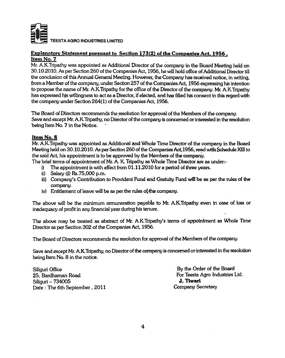

#### **Explanatory Statement pursuant to Section 173(2) of the Companies Act. 1956. Item No. 7**

**Mr. A.K.Tripathy was appointed as Additional Director of the company in the Board Meeting held on 30.10.2010. As per Section 260 of the Companies Act, 1956, he will hold office of Additional Director till the conclusion of this Annual General Meeting. However, toe Company has received notice, in writing, from a Member of the company, under Section 257 of the Companies Act, 1956 expressing his intention** to propose the name of Mr. A.K.Tripathy for the office of the Director of the company. Mr. A.K.Tripathy **has expressed f^s willingness to act as a Director, if elected, and has filled lus consent in this regard wito the company under Section 264(1) of the Companies Act, 1956.**

The Board of Directors recommends the resolution for approval of the Members of the company. **Save and except Mr. A.K.Tripathy, no Director of the company is concerned or interested in the resolution** being Item No. 7 in the Notice.

#### **Item No. 8**

**Mr. A.K.Tripathy was appointed as Additional and Whole Time Director of the company in the Board Meeting held on** 30.10.2010. **As per Section** 260 **of the Companies Act,1956, read with Schedule** Xin **to the said Act, his appointment is to be approved by the Members of the company.**

**The brief terms of appointment of Mr. A. K. Tripathy as Whole Time Director are as vinder;-**

- **i) The appointment is with effect from 01.11.2010 fora period of three years.**
- **ii) Salary @ Rs.75,000 p.m.**
- **iii) (Company's Contribution to Provident Fund arid Gratvuty Fund be as per the rules of the company.**
- iv) Entitlement of leave will be as per the rules of the company.

**The above will be the minimum remuneration payable to Mr. A.K.Tripathy even in case of loss or inadequacy of profit in emy financial year during his tenure.**

**The above may be treated as abstract of Mr. A.K.Tripathy's terms of appointment as Whole Time Director as per Section 302 of the Companies Act, 1956.**

**The Board of Directors recommends the resolution for approval of the Members of the company.**

**Save and except Mr. A.K.Tripathy, no Director of the company is concerned or interested in the resolution being Item No. 8 in the notice.**

**Siliguri Office By the Order of the Board 25, BanJhaman Road For Teesta Agro Industries Ltd.** Siliguri – 734005<br>
Date : The 6th September . 2011 **J. Tiwari** Company Secretary Date : The 6th September, 2011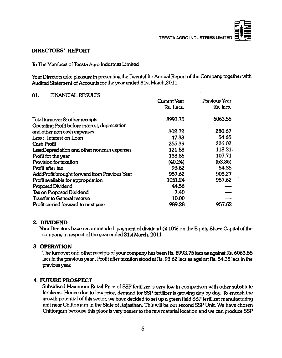#### **DIRECTORS' REPORT**

#### **To The Members of Teesta Agro Industries Umited**

**Your Directors take pleasure in presenting the Twentyfifth Annual Report of the Company together with Audited Statement of Accounts for the year ended 31st March,2011**

#### 01. **FINANCIAL RESULTS**

|                                                | Cument Year | Previous Year |
|------------------------------------------------|-------------|---------------|
|                                                | Rs. Lacs.   | Rs. lacs.     |
| Total turnover & other receipts                | 8993.75     | 6063.55       |
| Operating Profit before interest, depreciation |             |               |
| and other non cash expenses                    | 302.72      | 280.67        |
| Less: Interest on Loan                         | 47.33       | 54.65         |
| Cash Profit                                    | 255.39      | 226.02        |
| Less: Depreciation and other noncash expenses  | 121.53      | 118.31        |
| Profit for the year                            | 133.86      | 107.71        |
| Provision for taxation                         | (40.24)     | (53.36)       |
| Profit after tax                               | 93.62       | 54.35         |
| Add:Profit brought forward from Previous Year  | 957.62      | 903.27        |
| Profit available for appropriation             | 1051.24     | 957.62        |
| Proposed Dividend                              | 44.56       |               |
| Tax on Proposed Dividend                       | 7.40        |               |
| Transfer to General reserve                    | 10.00       |               |
| Profit carried forward to next year            | 989.28      | 957.62        |

#### **2. DIVIDEND**

**Your Directors have recommended payment of dividend @ 10% on the Equity Share Capital of the company in respect of the year ended 31st March, 2011**

#### **3. OPERATION**

**The turnover and other receipts of your company has been Rs. 8993.75 lacs as against Rs. 6063.55 lacs in the previous year. Profit after taxation stood at Rs. 93.62 lacs as against Rs. 54.35 lacs in the piewousyear.**

#### **4. FUTURE PROSPECT**

**Subsidised Maximum Retail Price of SSP fertilizer is very low in comparison with other substitute fertilizers. Hence due to low price, demand for SSP fertilizer is growing day by day. To encash the growth potential of this sector, we have decided to set up a green field SSP fertilizer manufacturing unit near Chittorgarh in the State** *of* **Rajasthan. This will be our second SSP Unit. We have chosen Chittorgarh because this place is very nearer to the raw material location and we can produce SSP**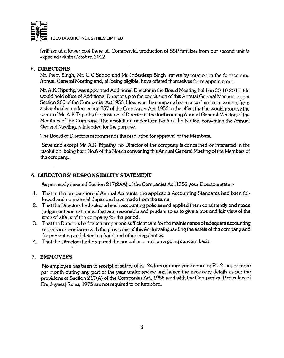

**fertilizer at a lower cost there at. Commercial production of SSP fertilizer from our second unit is expected within October, 2012.**

### **5. DIRECTORS**

**Mr. Prem Singh, Mr. U.C.Sahoo and Mr. Inderdeep Singh retires by rotation in the forthcoming Annual General Meeting and, all being eligible, have offered themselves for re appointment.**

**Mr. A.K.Tripathy, was appointed Additional Director in the Board Meeting held on 30.10.2010. He would hold office of Additional Director up to the conclusion of this Annual General Meeting, as per Section 260 of the Companies Actl956. However, the company has received notice in writing, from a shareholder, under section 257 of the Companies Act, 1956 to the effect that he would propose the name of Mr. A.K.Tripathy for position of Director in the forthcoming Annual General Meeting of the Members of the Company. The resolution, under Item No.6 of the Notice, convening the Annual General Meeting, is intended for the purpose.**

**The Board of Directors recommends the resolution for approval of the Members.**

**Save and except Mr. A.K.Tripathy, no Director of the company is concerned or interested in the resolution, being Item No.6 of the Notice convening this Annual General Meeting of the Members of the company.**

### **6. DIRECTORS' RESPONSIBILITY STATEMENT**

**As per newly inserted Section 217(2AA) of the Companies Act,1956 your Directors state**

- **1. That in the preparation of Annual Accounts, the applicable Accounting Standards had been followed and no material departure have made from the same.**
- **2. That the Directors had selected such accounting policies and applied them consistently and made judgement and estimates that are reasonable and prudent so as to give a true and fair view of the state of affairs of the company for the period.**
- **3.** That the Directors had taken proper and sufficient care for the maintenance of adequate accounting **records in accordance with the provisions of this Act for safeguarding the assets of the company and for preventing and detecting fraud and other irregularities.**
- **4. That the Directors had prepared the annual accounts on a going concern basis.**

### **7. EMPLOYEES**

**No employee has been in receipt of salary of Rs. 24 lacs or more per annum or Rs. 2 lacs or more per month during any part of the year under review and hence the necessary details as per the provisions of Section 217(A) of the Companies Act, 1956 read with the Companies (Particulars of Employees) Rules, 1975 are not required to be furnished.**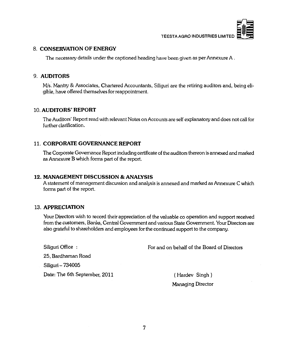

#### **8. CONSERVATION OF ENERGY**

**The necessary details under the captioned heading have been given as per Annexure A .**

#### 9. **AUDITORS**

M/s. Mantry & Associates, Chartered Accountants, Siliguri are the retiring auditors and, being eli**gible, have offered themselves for reappointment.**

#### **10. AUDITORS' REPORT**

**The Auditors' Report read with relevant Notes on Accounts are self explanatory and does not call for further clarification.**

#### **11. CORPORATE GOVERNANCE REPORT**

**The Corporate Governance Report including certificate of the auditors thereon is annexed and marked as Annexure B which forms part of the report.**

#### **12. MANAGEMENT DISCUSSION & ANALYSIS**

A statement of management discussion and analysis is annexed and marked as Annexure C which **forms part of the report.**

#### **13. APPRECIATION**

**Your Directors wish to record their appreciation of the valuable co operation and support received from the customers, Banks, Central Government and various State Government. Your Directors are also grateful to shareholders and employees for the continued support to the company.**

**Siliguri Office : For and on behalf of the Board of Directors**

**25, Bardhaman Road**

**Siliguri - 734005**

Date: The 6th September, 2011 (Hardev Singh)

**Managing Director**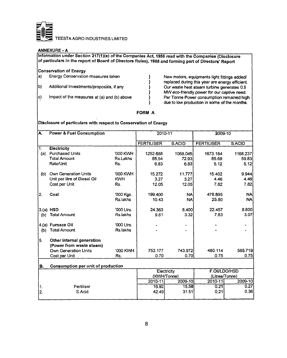

#### **ANNEXURE - A**

**Information under Section 217(1)(e) ofthe Companies Act, 1956 read with the Companies (Disclosure of particulars in the report of Board of Directors Rules), 1988 and forming part of Directors' Report**

#### **Conservation of Energy**

- **a) Energy Conservation measures taken } New motors, equipments light fittings added/**
- 
- 

**} replaced during this year are energy efficient. b) Additional Investments/proposals, if any } Our waste heat steam turbine generates 0.5 } MW eco-friendly power for our captive need.** c) Impact of the measures at (a) and (b) above **integral in the Power consumption remained high**<br>a due to low production in some of the months. **} due to low production in some of the months.**

#### **FORM A**

#### **Disclosure of particulars with respect to Conservation of Energy**

| IA.              | <b>Power &amp; Fuel Consumption</b>       |            | 2010-11           |             | 2009-10           |           |
|------------------|-------------------------------------------|------------|-------------------|-------------|-------------------|-----------|
|                  |                                           |            | <b>FERTILISER</b> | S.ACID      | <b>FERTILISER</b> | S.ACID    |
| $\overline{1}$ . | Electricity                               |            |                   |             |                   |           |
| (a)              | <b>Purchased Units</b>                    | '000 KWH   | 1252.688          | 1068.045    | 1673.184          | 1168.237  |
|                  | <b>Total Amount</b>                       | Rs.Lakhs   | 85.54             | 72.93       | 85.69             | 59.83     |
|                  | Rate/Unit                                 | Rs.        | 6.83              | 6.83        | 5.12              | 5.12      |
| (b)              | Own Generation Units                      | '000 KWH   | 15.272            | 11.777      | 15.402            | 9.944     |
|                  | Unit per litre of Diesel Oil              | <b>KWH</b> | 3.27              | 3.27        | 4.46              | 4.46      |
|                  | Cost per Unit                             | Rs.        | 12.05             | 12.05       | 7.82              | 7.82      |
| 12.              | Coal                                      | '000 Kgs.  | 199,400           | <b>NA</b>   | 478.895           | <b>NA</b> |
|                  |                                           | Rs.lakhs   | 10.43             | <b>NA</b>   | 25.80             | <b>NA</b> |
|                  | $3(a)$ HSD                                | '000 Ltrs. | 24.363            | 8.400       | 22.457            | 8.800     |
| (b)              | <b>Total Amount</b>                       | Rs.lakhs   | 9.61              | 3.32        | 7.83              | 3.07      |
|                  | 4.(a) Furnace Oil                         | '000 Ltrs. |                   |             |                   |           |
| (b)              | <b>Total Amount</b>                       | Rs.lakhs   |                   |             |                   |           |
| 5.               | Other internal generation                 |            |                   |             |                   |           |
|                  | (Power from waste steam)                  |            |                   |             |                   |           |
|                  | Own Generation Units                      | '000 KWH   | 753.177           | 743.972     | 480.114           | 565.719   |
|                  | Cost per Unit                             | Rs.        | 0.70              | 0.70        | 0.75              | 0.75      |
| ΙB.              | <b>Consumption per unit of production</b> |            |                   |             |                   |           |
|                  |                                           |            |                   | Electricity | F.Oil/LDO/HSD     |           |
|                  |                                           |            |                   | (KWH/Tonne) | (Litres/Tonne)    |           |
|                  |                                           |            | $2010 - 11$       | 2009-10     | $2010 - 11$       | 2009-10   |
| 1.               | Fertiliser                                |            | 16.92             | 15.58       | 0.21              | 0.27      |
| 2.               | S.Acid                                    |            | 42.49             | 31.51       | 0.21              | 0.36      |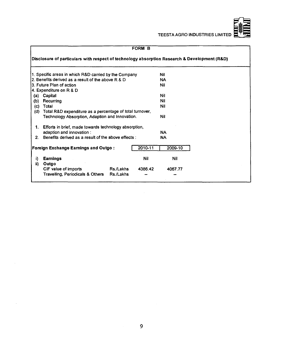

|         |                                                                                                             |           | FORM B  |           |  |  |
|---------|-------------------------------------------------------------------------------------------------------------|-----------|---------|-----------|--|--|
|         | Disclosure of particulars with respect of technology absorption Research & Development (R&D)                |           |         |           |  |  |
|         | 1. Specific areas in which R&D carried by the Company                                                       |           |         | Nil       |  |  |
|         | 2. Benefits derived as a result of the above R & D                                                          |           |         | NA        |  |  |
|         | 3. Future Plan of action                                                                                    |           |         | Nil       |  |  |
|         | 4. Expenditure on R & D                                                                                     |           |         |           |  |  |
| (a)     | Capital                                                                                                     |           |         | Nil       |  |  |
| (b)     | Recurring                                                                                                   |           |         | Nil       |  |  |
| (c)     | Total                                                                                                       |           |         | Nil       |  |  |
| (d)     | Total R&D expenditure as a percentage of total turnover,<br>Technology Absorption, Adaption and Innovation. |           |         | Nil       |  |  |
| 1.      | Efforts in brief, made towards technology absorption,                                                       |           |         | <b>NA</b> |  |  |
| $2_{-}$ | adaption and innovation :<br>Benefits derived as a result of the above effects :                            |           |         | <b>NA</b> |  |  |
|         | <b>Foreign Exchange Earnings and Outgo:</b>                                                                 |           | 2010-11 | 2009-10   |  |  |
| i)      | <b>Earnings</b>                                                                                             |           | Nil     | Nil       |  |  |
| ii)     | Outgo                                                                                                       | Rs./Lakhs | 4386.42 | 4067.77   |  |  |
|         | CIF value of imports<br>Travelling, Periodicals & Others                                                    | Rs./Lakhs |         |           |  |  |

 $\sim$ 

 $\bar{a}$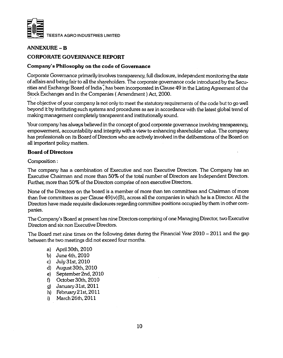

### **ANNEXURE - B**

### **CORPORATE GOVERNANCE REPORT**

#### **Company's Philosophy on the code of Governance**

**Corporate Governance primarily involves transparency, full disclosure, independent monitoring the state of affairs and being fair to all the shareholders. The corporate governance code introduced by the Securities and Exchange Board of India? has been incorporated in Clause 49 in the Listing Agreement of the Stock Exchanges and in the Companies ( Amendment) Act, 2000.**

**The objective of your company is not only to meet the statutory requirements of the code but to go well beyond it by instituting such systems and procedures as are in accordance with the latest global trend of making management completely transparent and institutionally sound.**

**Your company has always believed in the concept of good corporate governance involving transparency, empowerment, accountability and integrity with a view to enhancing shareholder value. The company has professionals on its Board of Directors who are actively involved in the deliberations of the Board on all important policy matters.**

#### **Board of Directors**

**Composition:**

**The company has a combination of Executive and non Executive Directors. The Company has an Executive Chairman and more than 50% of the total number of Directors are Independent Directors. Further, more than 50% of the Directors comprise of non executive Directors.**

**None of the Directors on the board is a member of more than ten committees and Chairman of more than five committees as per Clause 49(iv)(B), across all the companies in which he is a Director. All the Directors have made requisite disclosures regarding committee positions occupied by them in other companies.**

**The Company's Board at present has nine Directors comprising of one Managing Director, two Executive Directors and six non Executive Directors.**

**The Board met nine times on the following dates during the Financial Year 2010 - 2011 and the gap between the two meetings did not exceed four months.**

- **a) April 30th, 2010**
- **b) June 4th, 2010**
- **c) July 31st, 2010**
- **d) August 30th, 2010**
- **e) September 2nd, 2010**
- **f) October 30th, 2010**
- **g) January 31st, 2011**
- **h) February 21st, 2011**
- **i) March 26th, 2011**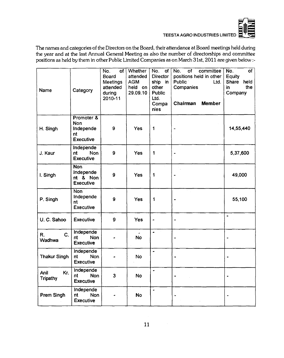

The names and categories of the Directors on the Board, their attendance at Board meetings held during the year and at the last Annual General Meeting as also the number of directorships and committee positions as held by them in other Public Limited Companies as on March 31st, 2011 are given below :-

| Name                           | Category                                                 | No.<br>οf<br>Board<br><b>Meetings</b><br>attended<br>during<br>2010-11 | Whether<br>attended<br><b>AGM</b><br>held on<br>29.09.10 | No.<br>of<br>Director<br>ship in<br>other<br>Public<br>Ltd.<br>Compa<br>nies | of<br>committee<br>No.<br>positions held in other<br>Public <sup>®</sup><br>Ltd.<br>Companies<br>Chairman<br><b>Member</b> | of<br>No.<br>Equity<br>Share held<br>the<br>in.<br>Company |
|--------------------------------|----------------------------------------------------------|------------------------------------------------------------------------|----------------------------------------------------------|------------------------------------------------------------------------------|----------------------------------------------------------------------------------------------------------------------------|------------------------------------------------------------|
| H. Singh                       | Promoter &<br><b>Non</b><br>Independe<br>nt<br>Executive | 9                                                                      | <b>Yes</b>                                               | 1                                                                            | $\blacksquare$                                                                                                             | 14,55,440                                                  |
| J. Kaur                        | Independe<br>Non<br>nt<br><b>Executive</b>               | 9                                                                      | <b>Yes</b>                                               | 1                                                                            |                                                                                                                            | 5,37,600                                                   |
| I. Singh                       | <b>Non</b><br>Independe<br>nt & Non<br><b>Executive</b>  | 9                                                                      | <b>Yes</b>                                               | 1                                                                            |                                                                                                                            | 49,000                                                     |
| P. Singh                       | <b>Non</b><br>Independe<br>nt<br><b>Executive</b>        | 9                                                                      | <b>Yes</b>                                               | 1                                                                            |                                                                                                                            | 55,100                                                     |
| U. C. Sahoo                    | <b>Executive</b>                                         | 9                                                                      | <b>Yes</b>                                               |                                                                              |                                                                                                                            | $\ddot{\phantom{1}}$                                       |
| C.<br>R.<br>Wadhwa             | Independe<br><b>Non</b><br>nt<br><b>Executive</b>        |                                                                        | <b>No</b>                                                |                                                                              |                                                                                                                            |                                                            |
| <b>Thakur Singh</b>            | <b>Independe</b><br>Non<br>nt<br><b>Executive</b>        |                                                                        | <b>No</b>                                                |                                                                              |                                                                                                                            |                                                            |
| Kr.<br>Anil<br><b>Tripathy</b> | Independe<br><b>Non</b><br>nt<br><b>Executive</b>        | $\overline{\mathbf{3}}$                                                | <b>No</b>                                                |                                                                              |                                                                                                                            |                                                            |
| Prem Singh                     | Independe<br>nt<br><b>Non</b><br><b>Executive</b>        |                                                                        | <b>No</b>                                                | ٠                                                                            | L                                                                                                                          |                                                            |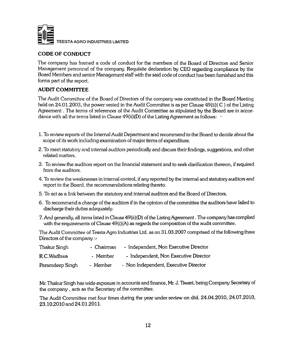

### **CODE OF CONDUCT**

**The company has framed a code of conduct for the members of the Board of Directors and Senior Management personnel of the company. Requisite declaration by CEO regarding compliance by the Board Members and senior Management staff with the said code of conduct has been furnished and this forms part of the report.**

### **AUDIT COMMITTEE**

**The Audit Committee of the Board of Directors of the company was constituted in the Board Meeting held on 24.01.2003, the power vested in the Audit Committee is as per Clause 49(ii)( C ) of the Listing Agreement. The terms of references of the Audit Committee as stipulated by the Board are in accordance with all the terms listed in Clause 49(ii)(D) of the Listing Agreement as follows; '**

- **1. To review reports of the Internal Audit Department and recommend to the Board to decide about the scope of its work including examination of major items of expenditure.**
- **2. To meet statutory and internal auditors periodically and discuss their findings, suggestions, and other related matters.**
- **3. To review the auditors report on the financial statement and to seek clarification thereon, if required from the auditors.**
- **4. To review the weaknesses in internal control, if any reported by the intemal and statutory auditors and report to the Board, the recommendations relating thereto.**
- **5. To act as a link between the statutory and internal auditors and the Board of Directors.**
- **6. To recommend a change of the auditors if in the opinion of the committee the auditors have failed to discharge their duties adequately.**
- **7. And generally, all items listed in Clause 49(ii)(D) of the Listing Agreement. The company has complied with the requirements of Clause 49(i)(A) as regards the composition of the audit committee.**

**The Audit Committee of Teesta Agro Industries Ltd. as on 31.03.2007 comprised of the following three Directors of the company ;-**

| Thakur Singh    | - Chairman | - Independent, Non Executive Director |
|-----------------|------------|---------------------------------------|
| R.C.Wadhwa      | - Member   | - Independent, Non Executive Director |
| Paramdeep Singh | - Member   | - Non Independent, Executive Director |

**Mr. Thakur Singh has wide exposure in accounts and finance, Mr. J. Tiwari, being Company Secietaiy of the company , acts as the Secretary of the committee.**

**The Audit Committee met four times during the year under review on dtd. 24.04.2010, 24.07.2010, 23.10.2010 and 24.01.2011.**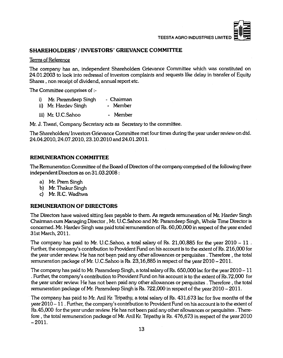

#### SHAREHOLDERS' / INVESTORS' GRIEVANCE COMMITTEE

#### **Terms of Reference**

**The company has an, independent Shareholders Grievance Committee which was constituted on 24.01.2003 to look into redressal of investors complaints and requests like delay in transfer of Equity Shares , non receipt of dividend, annual report etc.**

**The Committee comprises of**

| i) Mr. Paramdeep Singh | - Chairman |
|------------------------|------------|
| ii) Mr. Hardev Singh   | - Member   |
| iii) Mr. U.C.Sahoo     | - Member   |

**Mr. J. Tiwari, Company Secretary acts as Secretary to the committee.**

**The Shareholders/ Investors Grievance Committee met four times during the year under review on dtd. 24.04.2010,24.07.2010,23.10.2010 and 24.01.2011.**

#### **REMUNERATION COMMITTEE**

**The Remuneration Committee of the Board of Directors of the company comprised of the following three independent Directors as on 31.03.2008:**

- **a) Mr. Prem Singh**
- **b) Mr. Thakur Singh**
- **c) Mr. R.C. Wadhwa**

#### **REMUNERATION OF DIRECTORS**

**The Directors have waived sitting fees payable to them. As regards remuneration of Mr. Hardev Singh** Chairman cum Managing Director, Mr. U.C.Sahoo and Mr. Paramdeep Singh, Whole Time Director is **concerned. Mr. Hardev Singh was paid total remuneration of Rs. 60,00,000 in respect of the year ended 31st March, 2011.**

**The company has paid to Mr. U.C.Sahoo, a total salary of Rs. 21,00,885 for the year 2010 - 11 . Further, the company's contribution to Provident Fund on his account is to the extent of Rs. 216,000 for the year under review. He has not been paid any other allowances or perquisites . Therefore , the total** remuneration package of Mr. U.C.Sahoo is Rs. 23,16,885 in respect of the year 2010 – 2011.

The company has paid to Mr. Paramdeep Singh, a total salary of Rs.  $650,000$  lac for the year  $2010 - 11$ **. Further, the company's contribution to FYovident Fund on his account is to the extent of Rs.72,000 for the year under review. He has not been paid any other allowances or perquisites . Therefore , the total remuneration package of Mr. Raramdeep Singh is Rs. 722,000 in respect of the year 2010 - 2011.**

**The company has paid to Mr. Anil Kr. Tripathy, a total salary of Rs. 431,673 lac for five months of the year 2010 - 1 1 . Further, the company's contribution to Provident Fund on his account is to the extent of Rs.45,000 for the year under review. He has not been paid any other allowances or perquisites . Therefore , the total remuneration package of Mr. Anil Kr. Tripathy is Rs. 476,673 in respect of the year 2010**  $-2011.$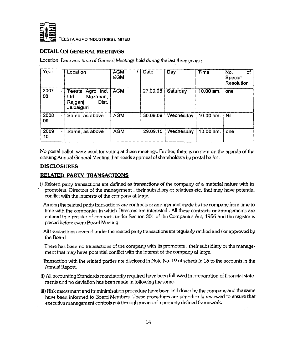

### **DETAIL ON GENERAL MEETINGS**

**Location,** *Date and time of* **General** *Meetings held during the last three years :*

| Year             | Location                                                                   | <b>AGM</b><br><b>EGM</b> | Date     | Day       | Time      | No.<br>οf<br><b>Special</b><br>Resolution |
|------------------|----------------------------------------------------------------------------|--------------------------|----------|-----------|-----------|-------------------------------------------|
| 2007<br>08       | Teesta<br>Agro Ind.<br>Ltd.<br>Mazabari,<br>Dist.<br>Rajganj<br>Jalpaiguri | <b>AGM</b>               | 27.09.08 | Saturday  | 10.00 am. | one                                       |
| 2008<br>÷.<br>09 | Same, as above                                                             | <b>AGM</b>               | 30.09.09 | Wednesday | 10.00 am. | Nil                                       |
| 2009<br>10       | Same, as above                                                             | <b>AGM</b>               | 29.09.10 | Wednesday | 10.00 am. | one                                       |

**No postal ballot were used for voting at these meetings. Further, there is no item on the agenda of the ensuing Annual General Meeting that needs approval of shareholders by postal ballot.**

#### **DISCLOSURES**

#### **RELATED PARTY TRANSACTIONS**

**i) Related party transactions are defined as transactions of the company of a material nature with its ' promoters. Directors of the management, their subsidiary or relatives etc. that may have potential conflict with the interests of the company at large.**

**Among the related party transactions are contracts or arrangement made by the company from time to time with the companies in which Directors are interested . All these contracts or arrangements are entered in a register of contracts under Section 301 of the Companies Act, 1956 and the register is placed before every Board Meeting.**

**All transactions covered under the related party transactions are regularly ratified and / or approved by the Board.**

**There has been no transactions of the company with its promoters , their subsidiary or the management that may have potential conflict with the interest of the company at large.**

**Transaction with the related parties are disclosed in Note No. 19 of schedule 15 to the accounts in the Annual Report.**

- **ii) All accounting Standards mandatorily required have been followed in preparation of financial statements and no deviation has been made in following the same.**
- **iii) Risk assessment and its minimisation procedure have been laid down by the company and the same have been informed to Board Members. These procedures are periodically reviewed to ensure that executive management controls risk through means of a property defined framework.**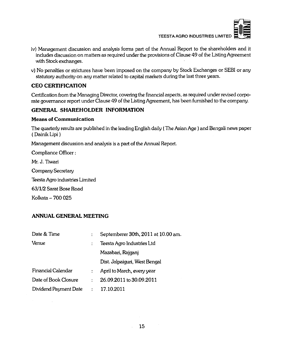

- **iv) Management discussion and analysis fonns part of the Annual Report to the shareholders and it includes discussion on matters as required under the provisions of Clause 49 of the Listing Agreement with Stock exchanges.**
- **v) No penalties or strictures have been imposed on the company by Stock Exchanges or SEBI or any statutory authority on any matter related to capital markets during the last three years.**

### **CEO CERTIFICATION**

**Certification from the Managing Director, covering the financial aspects, as required under revised corporate governance report under Clause 49 of the Listing Agreement, has been furnished to the company.**

### **GENERAL SHAREHOLDER INFORMATION**

#### **Means of Communication**

The quarterly results are published in the leading English daily (The Asian Age) and Bengali news paper **( Dainik Lipi)**

**Management discussion and analysis is a part of the Annual Report.**

**Compliance Officer:**

**Mr. J. Tiwari**

**Company Secretary**

**Teesta Agro industries Limited**

**63/1/2 Sarat Bose Road**

**Kolkata-7 0 0 025**

### **ANNUAL GENERAL MEETING**

| Date & Time           | ÷              | Septemberer 30th, 2011 at 10.00 am. |  |
|-----------------------|----------------|-------------------------------------|--|
| Venue                 |                | Teesta Agro Industries Ltd          |  |
|                       |                | Mazabari, Rajganj                   |  |
|                       |                | Dist. Jalpaiguri, West Bengal       |  |
| Financial Calendar    | $\ddot{\cdot}$ | April to March, every year          |  |
| Date of Book Closure  | ٠              | 26.09.2011 to 30.09.2011            |  |
| Dividend Payment Date | $\ddot{\cdot}$ | 17.10.2011                          |  |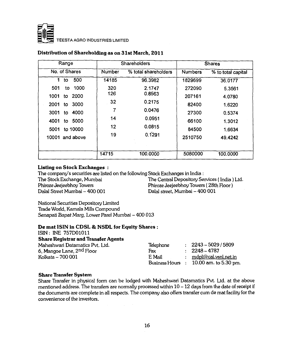

| Range              |        | <b>Shareholders</b><br><b>Shares</b> |                |                    |
|--------------------|--------|--------------------------------------|----------------|--------------------|
| No. of Shares      | Number | % total shareholders                 | <b>Numbers</b> | % to total capital |
| 500<br>1.<br>to    | 14185  | 96.3982                              | 1829699        | 36.0177            |
| 1000<br>501<br>to  | 320    | 2.1747                               | 272090         | 5.3561             |
| 2000<br>1001<br>to | 126    | 0.8563                               | 207161         | 4.0780             |
| 3000<br>2001<br>to | 32     | 0.2175                               | 82400          | 1.6220             |
| 4000<br>3001<br>to | 7      | 0.0476                               | 27300          | 0.5374             |
| 5000<br>4001<br>to | 14     | 0.0951                               | 66100          | 1.3012             |
| to 10000<br>5001   | 12     | 0.0815                               | 84500          | 1.6634             |
| 10001 and above    | 19     | 0.1291                               | 2510750        | 49.4242            |
|                    |        |                                      |                |                    |
|                    | 14715  | 100.0000                             | 5080000        | 100.0000           |

#### Distribution of Shareholding as on 31st March, 2011

#### **Listing on Stock Exchanges :**

The company's securities are listed on the following Stock Exchanges in India :

**Dalai Street Mumbai - 400 001 Dalai street, Mumbai - 400 001**

**The Stock Exchange, Mumbai The Central Depository Services ( India) Ltd. Phiroze Jeejeebhoy Towers Phiroze Jeejeebhoy Towers ( 28th Floor)**

**National Securities Depository Limited Trade World, Kamala Mills Compound** *Senapad Bapat Marg,* **Lower Parel Mumbai - 400 013**

#### De mat ISIN in CDSL & NSDL for Equity Shares :

**ISIN: INE 757D01011**

#### **Share Registrar and Transfer Agents**

**Maheshwari Datamatics Pvt. Ltd. 6, Mangoe Lane, 2nd Floor Kolkata- 7 0 0 001 Telephone Fax E Mail Business Hours 10.00** am. **to 5.30 pm.**  $\therefore$  2243 - 5029 / 5809 **2248 - 4737** : mdpl@cal.vsnl.net.in

#### **Share Transfer System**

**Share Transfer in physical form can be lodged with Maheshwari Datamatics Pvt. Ltd. at the above** mentioned address. The transfers are normally processed within  $10 - 12$  days from the date of receipt if **the documents are complete in all respects. The company also offers transfer cum de mat facility for the convenience of the investors.**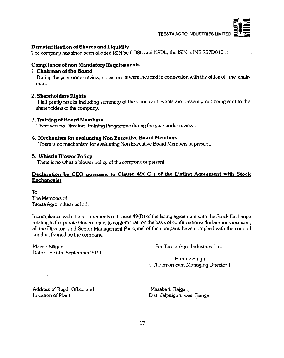

#### **Dem aterilisation of Shares and Liquidity**

**The company has since been allotted ISIN by CDSL and NSDL, the ISIN is INE 757D01011.**

#### **Com pliance of non Mandatory Requirements**

#### **1. Chairman of the Board**

**During the year under review, no expenses were incurred in connection with the office of the chairman.**

#### **2. Shareholders Rights**

**Half yearly results including summary of the significant events are presently not being sent to the shareholders of the company.**

#### **3. Training of Board Members**

**There was no Directors Training Programme during Ihe year under review.**

#### **4. M echanism for evaluating Non Executive Board Members**

**There is no mechanism for evaluating Non Executive Board Members at present.**

#### **5. W histle Blower Policy**

**There is no whistle blower policy of the company at present.**

#### Declaration by CEO pursuant to Clause 49(C) of the Listing Agreement with Stock **Exchanqefs)**

**To The Members of Teesta Agro industries Ltd.**

**Incompliance with the requirements of Clause 49(D) of the listing agreement with the Stock Exchange relating to Corporate Governance, to confirm that, on the basis of confirmations/ declarations received, all the Directors and Senior Management Personnel of the company have complied with the code of conduct framed by the company.**

**Date : The 6th, September,2011**

Place : Siliguri **Place : Siliguri For Teesta Agro Industries Ltd.** 

**Hardev Singh ( Chairman cum Managing Director )**

Address of Regd. Office and **Mazabari, Rajganj** 

**Location of Plant Dist. Jalpaiguri, west Bengal**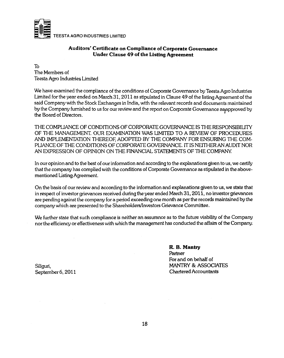

#### Auditors' Certificate on Compliance of Corporate Governance **Under Clause 49 of the Listing Agreement**

**To The Members of Teesta Agro Industries Limited**

**We have examined the compliance of the conditions of Corporate Governance by Teesta Agro Industries Limited for the year ended on March 31,2011 as stipulated in Clause 49 of the listing Agreement of the said Company with the Stock Exchanges in India, with the relevant records and documents maintained by the Company furnished to us for our review and the report on Corporate Governance asppproved by the Board of Directors.**

**THE COMPUANCE OF CONDITIONS OF CORPORATE GOVERNANCE IS THE RESPONSIBIUTY OF THE MANAGEMENT. OUR EXAMINATION WAS UMITED TO A REVIEW OF PROCEDURES AND IMPLEMENTATION THEREOF ADOPTED BY THE COMPANY FOR ENSURING THE COM-PUANCE OF THE CONDITIONS OF CORPORATE GOVERNANCE. IT IS NEITHER AN AUDIT NOR AN EXPRESSION OF OPINION ON THE HNANCIAL STATEMENTS OF THE COMPANY.**

**In our opinion and to the best of our information and according to the explanations given to us, we certify that the company has complied with the conditions of Corporate Governance as stipulated in the abovementioned Usting Agreement.**

**On the basis of our review and according to the information and explanations given to us, we state that in respect of investor grievances received during the year ended March 31,2011, no investor grievances are pending against the company for a period exceeding one month as per the records maintained by the company which are presented to the Shareholders/Investors Grievance Committee.**

**We further state that such compliance is neither an assurance as to the future viability of the Company nor the efficiency or effectiveness with which the management has conducted the affairs of the Company.**

**R. B. Mantry Partner For and on behalf of Siliguri, MANTRY & ASSOCIATES September 6,2011 Chartered Accountants**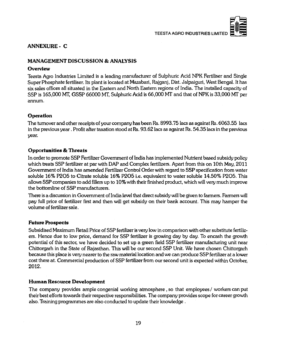



#### **ANNEXURE - C**

#### **MANAGEMENT DISCUSSION & ANALYSIS**

#### **Overview**

**Teesta Agro Industries Limited is a leading manufacturer of Sulphuric Acid NPK Fertiliser and Single Super Phosphate fertiliser. Its plant is located at Mazabari, Rajganj, Dist. Jalpaiguri, West Bengal. It has six sales offices all situated in the Eastern and North Eastern regions of India. The installed capacity of SSP is 165,000 MT, GSSP 66000 MT, Sulphuric Acid is 66,000 MT and that of NPK is 33,000 MT per annum.**

#### **Operation**

**The turnover and other receipts of your company has been Rs. 8993.75 lacs as against Rs. 6063.55 lacs in the previous year. Profit after taxation stood at Rs. 93.62 lacs as against Rs. 54.35 lacs in the previous year.**

#### **Opportunities & Threats**

**In order to promote SSP Fertilizer Government of India has implemented Nutrient based subsidy policy which treats SSP fertilizer at par with DAP and Complex fertilizers. Apart from this on 10th May, 2011 Government of India has amended Fertilizer Control Order with regard to SSP specification from water** soluble 16% P2O5 to Citrate soluble 16% P2O5 i.e. equivalent to water soluble 14.50% P2O5. This **allows SSP companies to add fillers up to 10% with their finished product, which will very much improve the bottomline of SSP manufacturers.**

**There is a discussion in Government of India level that direct subsidy will be given to farmers. Farmers will pay full price of fertilizer first and then will get subsidy on their bank account. This may hamper the volume of fertilizer sale.**

#### **Future Prospects**

**Subsidised Maximum Retail Price of SSP fertilizer is very low in comparison with other substitute fertilizers. Hence due to low price, demand for SSP fertilizer is growing day by day. To encash the growth potential of this sector, we have decided to set up a green field SSP fertilizer manufacturing unit near Chittorgarh in the State of Rajasthan. This will be our second SSP Unit. We have chosen Chittorgarh because this place is very nearer to the raw material location and we can produce SSP fertilizer at a lower cost there at. Commercial production of SSP fertilizer from our second unit is expected within October,** 2012.

#### **Human Resource Development**

**The company provides ample congenial working atmosphere , so that employees / workers can put their best efforts towards their respective responsibilities. The company provides scope for career growth also. Training programmes are also conducted to update their knowledge .**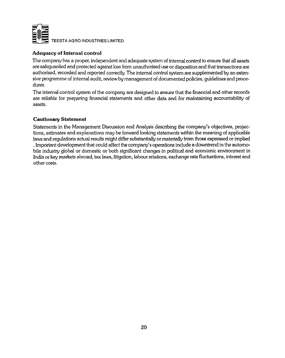

### **Adequacy of Internal control**

**The company has a proper, independent and adequate system of internal control to ensure that all assets are safeguarded and protected against loss from unauthorised use or disposition and that transactions are authorised, recorded and reported correctly. The internal control system are supplemented by an extensive programme of internal audit, review by management of documented policies, guidelines and procedures.**

**The internal control system of the company are designed to ensure that the financial and other records are reliable for preparing financial statements and other data and for maintaining accountability of assets.**

#### **Cautionary Statement**

**Statements in the Management Discussion and Analysis describing the company's objectives, projections, estimates and explanations may be forward looking statements within the meaning of applicable laws and regulations actual results might differ substantially or materially from those expressed or implied . Important development that could affect the company's operations include a downtrend in the automobile industry global or domestic or both significant changes in political and economic environment in India or key markets abroad, tax laws, litigation, labour relations, exchange rate fluctuations, interest and other costs.**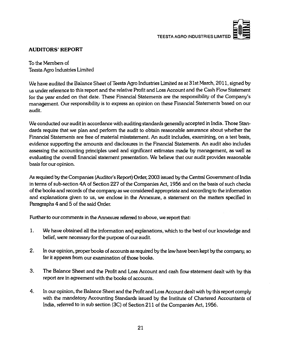

### **AUDITORS' REPORT**

**To the Members of Teesta Agro Industries Limited**

**We have audited the Balance Sheet of Teesta Agro Industries Limited as at 31st March, 2011, signed by us under reference to this report and the relative Profit and Loss Account and the Cash Flow Statement for the year ended on that date. These Financial Statements are the responsibility of the Company's management. Our responsibility is to express an opinion on these Financial Statements based on our audit.**

**We conducted our audit in accordance with auditing standards generally accepted in India. Those Standards require that we plan and perform the audit to obtain reasonable assurance about whether the Financial Statements are free of material misstatement. An audit includes, examining, on a test basis, evidence supporting the amounts and disclosures in the Financial Statements. An audit also includes assessing the accounting principles used and significant estimates made by management, as well as evaluating the overall financial statement presentation. We believe that our audit provides reasonable basis for our opinion.**

**As required by the Companies (Auditor's Report) Order, 2003 issued by the Central Government of India in terms of sub-section 4A of Section 227 of the Companies Act, 1956 and on the basis of such checks** of the books and records of the company as we considered appropriate and according to the information **and explanations given to us, we enclose in the Annexure, a statement on the matters specified in Paragraphs 4 and 5 of the said Order.**

**Further to our comments in the Annexure referred to above, we report that:**

- **1. We have obtained all the information and explanations, which to the best of our knowledge and belief, were necessary for the purpose of our audit.**
- **2. In our opinion, proper books of accounts as required by the law have been kept by the company, so far it appears from our examination of those books.**
- **3. The Balance Sheet and the Profit and Loss Account and cash flow statement dealt with by this report are in agreement with the books of accounts.**
- **4. In our opinion, the Balance Sheet and the Profit and Loss Account dealt with by this report comply with the mandatory Accounting Standards issued by the Institute of Chartered Accountants of India, referred to in sub section (3C) of Section 211 of the Companies Act, 1956.**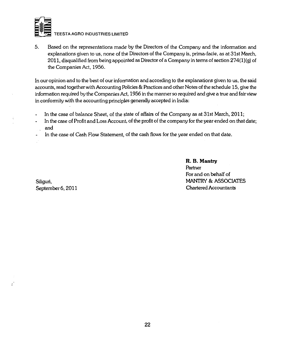

**5. Based on the representations mad^ by the Directors of the Company and the information and explanations given to us, none of the Directors of the Company is, prima-facie, as at 31st March, 2011, disqualified from being appointed as Director of a Company in terms of section 274(l)(g) of the Companies Act, 1956.**

**In our opinion and to the best of our infonnation and according to the explanations given to us, the said accounts, read together with Accounting Policies & Practices and other Notes of the schedule 15, give the information required by the Companies Act, 1956 in the manner so required and give a true and fair view in conformity with the accounting principles generally accepted in India:**

- **In the case of balance Sheet, of the state of affairs of the Company as at 31st March, 2011;**  $\blacksquare$
- **In the case of Profit and Loss Account, of the profit of the company for the year ended on that date;**  $\blacksquare$ **and**
- **In the case of Cash Flow Statement, of the cash flows for the year ended on that date.**

 $\boldsymbol{z}^{\prime}$ 

**R. B. Mantry Partner For and on behalf of Siliguri, MANTRY & ASSOCIATES September 6,2011 Chartered Accountants**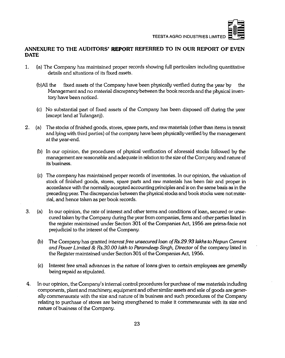

#### **ANNEXURE TO THE AUDITORS' REPORT REFERRED TO IN OUR REPORT OF EVEN DATE**

- 1. (a) The Company has maintained proper records showing full particulars including quantitative details and situations of its fixed assets.
	- (b)All the fixed assets of the Company have been physically verified during the year by the Management and no material discrepancy between the book records and the physical inventory have been noticed.
	- (c) No substantial part of fixed assets of the Company has been disposed off during the year (except land at Tufanganj).
- 2. (a) The stocks of finished goods, stores, spare parts, and raw materials (other than items in transit and lying with third parties) of the company have been physically verified by the management at the year-end.
	- (b) In our opinion, the procedures of physical verification of aforesaid stocks followed by the management are reasonable and adequate in relation to the size of the Company and nature of its business.
	- (c) The company has maintained proper records of inventories. In our opinion, the valuation of stock of finished goods, stores, spare parts and raw materials has been fair and proper in accordance with the normally accepted accounting principles and is on the same basis as in the preceding year. The discrepancies between the physical stocks and book stocks were not material, and hence taken as per book records.
- 3. (a) In our opinion, the rate of interest and other terms and conditions of loan, secured or unsecured taken by the Company during the year from companies, firms and other parties listed in the register maintained under Section 301 of the Companies Act, 1956 are prima-facie not prejudicial to the interest of the Company.
	- (b) The Company has granted *interest free unsecured loan ofRs.29.93 lakhs to Nepun Cement and Power Limited & Rs.30.00 lakh to Paramdeep Singh, Director* of the company listed in the Register maintained under Section 301 of the Companies Act, 1956.
	- (c) Interest free small advances in the nature of loans given to certain employees are generally being repaid as stipulated.
- 4. In our opinion, the Company's intemal control procedures for purchase of raw materials including components, plant and machinery, equipment and other similar assets and sale of goods are generally commensurate with the size and nature of its business and such procedures of the Company relating to purchase of stores are being strengthened to make it commensurate with its size and nature of business of the Company.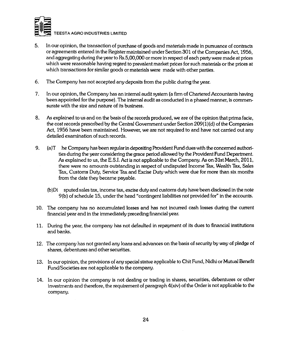

- 5. In our opinion, the transaction of purchase of goods and materials made in pursuance of contracts or agreements entered in the Register maintained under Section 301 of the Companies Act, 1956, and aggregating during the year to Rs.5,00,000 or more in respect of each party were made at prices which were reasonable having regard to prevalent market prices for such materials or the prices at which transactions for similar goods or materials were made with other parties.
- 6. The Company has not accepted any deposits from the public during the year.
- 7. In our opinion, the Company has an internal audit system (a firm of Chartered Accountants having been appointed forthe purpose). The internal audit as conducted in a phased manner, is commensurate with the size and nature of its business.
- 8. As explained to us and on the basis of the records produced, we are of the opinion that prima facie, the cost records prescribed by the Central Government under Section  $209(1)(d)$  of the Companies Act, 1956 have been maintained. However, we are not required to and have not carried out any detailed examination of such records.
- 9.  $(a)T$  he Company has been regular in depositing Provident Fund dues with the concerned authorities during the year considering the grace period allowed by the Provident Fund Department. As explained to us, the E.S.I. Act is not applicable to the Company. As on 31st March, 2011, there were no amounts outstanding in respect of undisputed Income Tax, Wealth Tax, Sales Tax, Customs Duty, Service Tax and Excise Duty which were due for mote than six months from the date they became payable.
	- (b)Di sputed sales tax, income tax, excise duty and customs duty have been disclosed in the note 9(b) of schedule 15, underthe head "contingent liabilities not provided for" in the accounts.
- 10. The company has no accumulated losses and has not incurred cash losses during the current financial year and in the immediately preceding financial year.
- 11. During the year, the company has not defaulted in repayment of its dues to financial institutions and banks.
- 12. The company has not granted any loans and advances on the basis of security by way of pledge of shares, debentures and other securities.
- 13. In our opinion, the provisions of any special statue applicable to Chit Fund, Nidhi or Mutual Benefit Fund/Societies are not applicable to the company.
- 14. In our opinion the company is not dealing or trading in shares, securities, debentures or other investments and therefore, the requirement of paragraph 4(xiv) of the Order is not applicable to the company.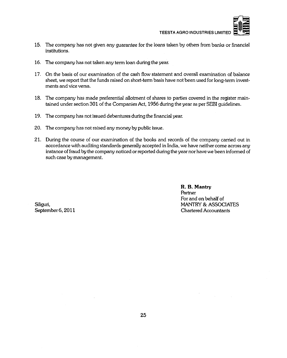

- 15. The company has not given any guarantee for the loans taken by others from banks or financial institutions.
- 16. The company has not taken any term loan during the year.
- 17. On the basis of our examination of the cash flow statement and overall examination of balance sheet, we report that the funds raised on short-term basis have not been used for long-term investments and vice versa.
- 18. The company has made preferential allotment of shares to parties covered in the register maintained under section 301 of the Companies Act, 1956 during the year as per SEBI guidelines.
- 19. The company has not issued debentures during the financial year.
- 20. The company has not raised any money by public issue.
- 21. During the course of our examination of the books and records of the company carried out in accordance with auditing standards generally accepted in India, we have neither come across any instance of fraud by the company noticed or reported during the year nor have we been informed of such case by management.

R. B. Mantry Partner For and on behalf of Siliguri, **MANTRY & ASSOCIATES** September 6, 2011 **Chartered Accountants**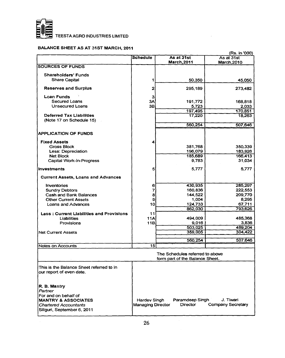

### **BALANCE SHEET AS AT 31ST MARCH, 2011**

| (Rs. in '000)                                   |                   |                                 |                          |
|-------------------------------------------------|-------------------|---------------------------------|--------------------------|
|                                                 | <b>Schedule</b>   | As at 31st                      | As at 31st               |
|                                                 |                   | <b>March, 2011</b>              | March.2010               |
| <b>SOURCES OF FUNDS</b>                         |                   |                                 |                          |
| Shareholders' Funds                             |                   |                                 |                          |
| <b>Share Capital</b>                            | 1                 | 50,350                          | 45,050                   |
|                                                 |                   |                                 |                          |
| <b>Reserves and Surplus</b>                     | 2                 | 295,189                         | 273,482                  |
|                                                 |                   |                                 |                          |
| Loan Funds<br>Secured Loans                     | з                 |                                 |                          |
| <b>Unsecured Loans</b>                          | 3A<br>3B          | 191,772<br>5.723                | 168.818<br>2.033         |
|                                                 |                   | 197,495                         | 170,851                  |
| Deferred Tax Liabilities                        |                   | 17,220                          | 18,263                   |
| (Note 17 on Schedule 15)                        |                   |                                 |                          |
|                                                 |                   | 560,254                         | 507,646                  |
|                                                 |                   |                                 |                          |
| <b>APPLICATION OF FUNDS</b>                     |                   |                                 |                          |
|                                                 |                   |                                 |                          |
| <b>Fixed Assets</b>                             | 4                 |                                 |                          |
| <b>Gross Block</b>                              |                   | 381,768                         | 350,339                  |
| Less: Depreciation<br><b>Net Block</b>          |                   | 196,079<br>185,689              | 183,926<br>166,413       |
| Capital Work-in-Progress                        |                   | 9,783                           | 31,034                   |
|                                                 |                   |                                 |                          |
| Investments                                     | 5                 | 5,777                           | 5,777                    |
|                                                 |                   |                                 |                          |
| <b>Current Assets, Loans and Advances</b>       |                   |                                 |                          |
| Inventories                                     | 6                 | 430,935                         | 285,297                  |
| <b>Sundry Debtors</b>                           | 7                 | 160,836                         | 222,553                  |
| Cash and Bank Balances                          | 8                 | 144,522                         | 209,770                  |
| <b>Other Current Assets</b>                     | 9                 | 1.004                           | 8,295                    |
| Loans and Advances                              | 10                | 124,733                         | 67,711                   |
|                                                 |                   | 862,030                         | 793,626                  |
| <b>Less: Current Liabilities and Provisions</b> | 11                |                                 |                          |
| Liabilities                                     | <b>11A</b>        | 494,009                         | 485,368                  |
| Provisions                                      | 11B               | 9,016                           | 3,836                    |
|                                                 |                   | 503,025                         | 489.204                  |
| <b>Net Current Assets</b>                       |                   | 359,005                         | 304,422                  |
|                                                 |                   | 560,254                         | 507,646                  |
| Notes on Accounts                               | $\overline{15}$   |                                 |                          |
|                                                 |                   |                                 |                          |
|                                                 |                   | The Schedules referred to above |                          |
|                                                 |                   | form part of the Balance Sheet. |                          |
|                                                 |                   |                                 |                          |
| This is the Balance Sheet referred to in        |                   |                                 |                          |
| our report of even date.                        |                   |                                 |                          |
|                                                 |                   |                                 |                          |
| R. B. Mantry                                    |                   |                                 |                          |
| Partner                                         |                   |                                 |                          |
| For and on behalf of                            |                   |                                 |                          |
| <b>MANTRY &amp; ASSOCIATES</b>                  | Hardev Singh      | Paramdeep Singh                 | J. Tiwari                |
| <b>Chartered Accountants</b>                    | Managing Director | Director                        | <b>Company Secretary</b> |
| Siliguri, September 6, 2011                     |                   |                                 |                          |
|                                                 |                   |                                 |                          |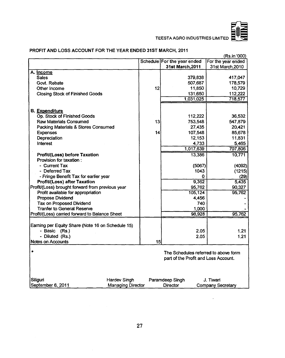

 $\Box$ 

### PROFIT AND LOSS ACCOUNT FOR THE YEAR ENDED 31ST MARCH, 2011

|                                                                    |    | Schedule For the year ended          | (Rs.in '000)<br>For the year ended |
|--------------------------------------------------------------------|----|--------------------------------------|------------------------------------|
|                                                                    |    | 31st March, 2011                     | 31st March, 2010                   |
| A. Income                                                          |    |                                      |                                    |
| <b>Sales</b>                                                       |    | 379,838                              | 417,047                            |
| Govt. Rebate                                                       |    | 507,687                              | 178,579                            |
| Other Income                                                       | 12 | 11,850                               | 10,729                             |
| <b>Closing Stock of Finished Goods</b>                             |    | 131,650                              | 112,222                            |
|                                                                    |    | 1,031,025                            | 718,577                            |
| B. Expenditure                                                     |    |                                      |                                    |
| Op. Stock of Finished Goods                                        |    | 112,222                              | 36,532                             |
| Raw Materials Consumed                                             | 13 | 753,548                              | 547,879                            |
| Packing Materials & Stores Consumed                                |    | 27,435                               | 20,421                             |
| <b>Expenses</b>                                                    | 14 | 107,548                              | 85,678                             |
| Depreciation                                                       |    | 12,153                               | 11,831                             |
| Interest                                                           |    | 4,733                                | 5,465                              |
|                                                                    |    | 1,017,639                            | 707,806                            |
|                                                                    |    | 13,386                               | 10,771                             |
| Profit/(Loss) before Taxation<br>Provision for taxation:           |    |                                      |                                    |
| - Current Tax                                                      |    | (5067)                               | (4092)                             |
| - Deferred Tax                                                     |    | 1043                                 | (1215)                             |
| - Fringe Benefit Tax for earlier year                              |    | 0                                    | (29)                               |
| Profit/(Loss) after Taxation                                       |    | 9,362                                | 5,435                              |
| Profit/(Loss) brought forward from previous year                   |    | 95,762                               | 90,327                             |
| Profit available for appropriation                                 |    | 105,124                              | 95,762                             |
| <b>Propose Dividend</b>                                            |    | 4,456                                |                                    |
| Tax on Proposed Dividend                                           |    | 740                                  |                                    |
| <b>Tranfer to General Reserve</b>                                  |    | 1,000                                |                                    |
| Profit/(Loss) carried forward to Balance Sheet                     |    | 98,928                               | 95,762                             |
|                                                                    |    |                                      |                                    |
| Earning per Equity Share (Note 16 on Schedule 15)<br>- Basic (Rs.) |    | 2.05                                 | 1.21                               |
| - Diluted (Rs.)                                                    |    | 2.05                                 | 1.21                               |
| <b>Notes on Accounts</b>                                           | 15 |                                      |                                    |
|                                                                    |    |                                      |                                    |
| ٠                                                                  |    | The Schedules referred to above form |                                    |
|                                                                    |    | part of the Profit and Loss Account. |                                    |
|                                                                    |    |                                      |                                    |
| Siliguri<br>Hardev Singh                                           |    | Paramdeep Singh                      | J. Tiwari                          |
| September 6, 2011<br><b>Managing Director</b>                      |    | <b>Director</b>                      | <b>Company Secretary</b>           |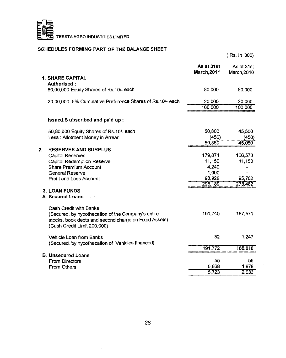

### **SCHEDULES FORMING PART OF THE BALANCE SHEET**

|    |                                                                                                                                                                      |                                  | (Rs. In '000)             |
|----|----------------------------------------------------------------------------------------------------------------------------------------------------------------------|----------------------------------|---------------------------|
|    |                                                                                                                                                                      | As at 31st<br><b>March, 2011</b> | As at 31st<br>March, 2010 |
|    | <b>1. SHARE CAPITAL</b>                                                                                                                                              |                                  |                           |
|    | Authorised:                                                                                                                                                          |                                  |                           |
|    | 80,00,000 Equity Shares of Rs.10/- each                                                                                                                              | 80,000                           | 80,000                    |
|    | 20,00,000 8% Cumulative Preference Shares of Rs.10/- each                                                                                                            | 20,000                           | 20,000                    |
|    |                                                                                                                                                                      | 100,000                          | 100,000                   |
|    | Issued, Subscribed and paid up:                                                                                                                                      |                                  |                           |
|    | 50,80,000 Equity Shares of Rs.10/- each                                                                                                                              | 50,800                           | 45,500                    |
|    | Less: Allotment Money in Arrear                                                                                                                                      | (450)                            | (450)                     |
|    |                                                                                                                                                                      | 50,350                           | 45,050                    |
| 2. | <b>RESERVES AND SURPLUS</b>                                                                                                                                          |                                  |                           |
|    | Capital Reserves                                                                                                                                                     | 179,871                          | 166,570                   |
|    | <b>Capital Redemption Reserve</b>                                                                                                                                    | 11,150                           | 11,150                    |
|    | <b>Share Premium Account</b>                                                                                                                                         | 4,240                            |                           |
|    | General Reserve                                                                                                                                                      | 1,000                            |                           |
|    | <b>Profit and Loss Account</b>                                                                                                                                       | 98,928                           | 95,762                    |
|    |                                                                                                                                                                      | 295,189                          | 273,482                   |
|    | <b>3. LOAN FUNDS</b><br>A. Secured Loans                                                                                                                             |                                  |                           |
|    | Cash Credit with Banks<br>(Secured, by hypothecation of the Company's entire<br>stocks, book debts and second charge on Fixed Assets)<br>(Cash Credit Limit 200,000) | 191,740                          | 167,571                   |
|    | Vehicle Loan from Banks<br>(Secured, by hypothecation of Vehicles financed)                                                                                          | 32                               | 1.247                     |
|    |                                                                                                                                                                      | 191,772                          | 168,818                   |
|    | <b>B. Unsecured Loans</b>                                                                                                                                            |                                  |                           |
|    | <b>From Directors</b>                                                                                                                                                | 55                               | 55                        |
|    | From Others                                                                                                                                                          | 5,668                            | 1,978                     |
|    |                                                                                                                                                                      | 5,723                            | 2,033                     |
|    |                                                                                                                                                                      |                                  |                           |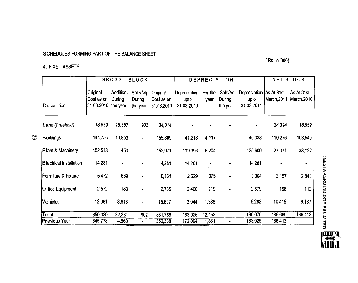### **SCHEDULES FORMING PART OF THE BALANCE SHEET**

(Rs. in '000)

### **4. FIXEDASSETS**

N> **VO**

|                                | <b>GROSS</b><br><b>BLOCK</b>                  |                            |                                 | <b>DEPRECIATION</b>                  |                                     |                 |                                 | <b>NET BLOCK</b>                                |             |                           |
|--------------------------------|-----------------------------------------------|----------------------------|---------------------------------|--------------------------------------|-------------------------------------|-----------------|---------------------------------|-------------------------------------------------|-------------|---------------------------|
| <b>Description</b>             | Original<br>Cost as on<br>31.03.2010 the year | <b>Additions</b><br>During | Sale/Adj.<br>During<br>the year | Original<br>Cost as on<br>31.03.2011 | Depreciation_<br>upto<br>31.03.2010 | For the<br>vear | Sale/Adj.<br>During<br>the year | Depreciation   As At 31st<br>upto<br>31.03.2011 | March, 2011 | As At 31st<br>March, 2010 |
| Land (Freehold)                | 18,659                                        | 16,557                     | 902                             | 34,314                               |                                     |                 |                                 |                                                 | 34,314      | 18,659                    |
| <b>Buildings</b>               | 144,756                                       | 10,853                     | $\blacksquare$                  | 155,609                              | 41,216                              | 4,117           |                                 | 45,333                                          | 110,276     | 103,540                   |
| <b>Plant &amp; Machinery</b>   | 152,518                                       | 453                        | $\qquad \qquad \blacksquare$    | 152,971                              | 119,396                             | 6,204           | $\overline{a}$                  | 125,600                                         | 27,371      | 33,122                    |
| <b>Electrical Installation</b> | 14,281                                        | $\blacksquare$             |                                 | 14,281                               | 14,281                              | ٠               |                                 | 14,281                                          |             | $\blacksquare$            |
| <b>Furniture &amp; Fixture</b> | 5,472                                         | 689                        |                                 | 6,161                                | 2,629                               | 375             |                                 | 3,004                                           | 3,157       | 2,843                     |
| <b>Office Equipment</b>        | 2,572                                         | 163                        |                                 | 2,735                                | 2,460                               | 119             | $\blacksquare$                  | 2,579                                           | 156         | 112                       |
| Vehicles                       | 12,081                                        | 3,616                      |                                 | 15,697                               | 3,944                               | 1,338           |                                 | 5,282                                           | 10,415      | 8,137                     |
| Total                          | 350,339                                       | 32,331                     | 902                             | 381,768                              | 183,926                             | 12,153          |                                 | 196,079                                         | 185,689     | 166,413                   |
| <b>Previous Year</b>           | 345,778                                       | 4,560                      | ٠                               | 350,338                              | 172,094                             | 11,831          |                                 | 183,925                                         | 166,413     |                           |

H **m m § s** *X o* 2 O **c** *a>* H 2 m *cn* **m o**

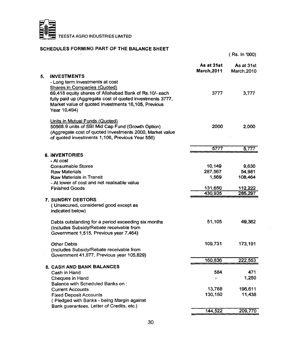

### **SCHEDULES FORMING PART OF THE BALANCE SHEET**

|    |                                                           | As at 31st<br><b>March, 2011</b> | As at 31st<br>March, 2010 |
|----|-----------------------------------------------------------|----------------------------------|---------------------------|
| 5. | <b>INVESTMENTS</b>                                        |                                  |                           |
|    | - Long term investments at cost                           |                                  |                           |
|    | <b>Shares in Companies (Quoted)</b>                       |                                  |                           |
|    | 69,418 equity shares of Allahabad Bank of Rs.10/- each    | 3777                             | 3,777                     |
|    | fully paid up (Aggregate cost of quoted investments 3777, |                                  |                           |
|    | Market value of quoted investments 16,105, Previous       |                                  |                           |
|    | Year 10,494)                                              |                                  |                           |
|    | Units in Mutual Funds (Quoted)                            |                                  |                           |
|    | 50568.9 units of SBI Mid Cap Fund (Growth Option)         | 2000                             | 2,000                     |
|    | (Aggregate cost of quoted investments 2000, Market value  |                                  |                           |
|    | of quoted investments 1,106, Previous Year 556)           |                                  |                           |
|    |                                                           | 5777                             | 5,777                     |
|    | <b>6. INVENTORIES</b>                                     |                                  |                           |
|    | - At cost                                                 |                                  |                           |
|    | <b>Consumable Stores</b>                                  | 10,149                           | 9.630                     |
|    | <b>Raw Materials</b>                                      | 287,567                          | 54,981                    |
|    | <b>Raw Materials in Transit</b>                           | 1,569                            | 108,464                   |
|    | - At lower of cost and net realisable value               |                                  |                           |
|    | <b>Finished Goods</b>                                     | 131,650                          | 112,222                   |
|    |                                                           | 430,935                          | 285,297                   |
|    | <b>7. SUNDRY DEBTORS</b>                                  |                                  |                           |
|    | (Unsecured, considered good except as                     |                                  |                           |
|    | indicated below)                                          |                                  |                           |
|    | Debts outstanding for a period exceeding six months       | 51.105                           | 49,362                    |
|    | (Includes Subsidy/Rebate receivable from                  |                                  |                           |
|    | Government 1,515, Previous year 7,464)                    |                                  |                           |
|    |                                                           |                                  |                           |
|    | <b>Other Debts</b>                                        | 109,731                          | 173,191                   |
|    | (Includes Subsidy/Rebate receivable from                  |                                  |                           |
|    | Government 41,877, Previous year 105,829)                 | 160,836                          | 222,553                   |
|    | <b>8. CASH AND BANK BALANCES</b>                          |                                  |                           |
|    | Cash in Hand                                              | 584                              | 471                       |
|    | Cheques in Hand                                           |                                  | 1,250                     |
|    | Balance with Scheduled Banks on:                          |                                  |                           |
|    | <b>Current Accounts</b>                                   | 13,788                           | 196,611                   |
|    | <b>Fixed Deposit Accounts</b>                             | 130,150                          | 11,438                    |
|    | (Pledged with Banks - being Margin against                |                                  |                           |
|    | Bank guarantees, Letter of Credits, etc.)                 |                                  |                           |
|    |                                                           | 144,522                          | 209,770                   |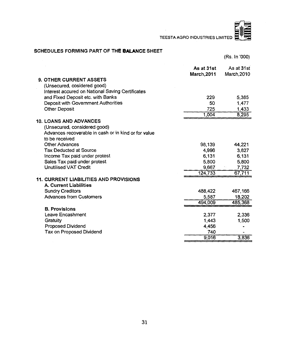l.



### SCHEDULES FORMING PART OF THE BALANCE SHEET

**(Rs. In '000)**

|                                                                                      | As at 31st<br><b>March, 2011</b> | As at 31st<br>March, 2010 |
|--------------------------------------------------------------------------------------|----------------------------------|---------------------------|
| <b>9. OTHER CURRENT ASSETS</b>                                                       |                                  |                           |
| (Unsecured, cosidered good)                                                          |                                  |                           |
| Interest accured on National Saving Certificates                                     |                                  |                           |
| and Fixed Deposit etc. with Banks                                                    | 229                              | 5.385                     |
| Deposit with Government Authorities                                                  | 50                               | 1.477                     |
| <b>Other Deposit</b>                                                                 | 725                              | 1,433                     |
|                                                                                      | 1,004                            | 8,295                     |
| <b>10. LOANS AND ADVANCES</b>                                                        |                                  |                           |
|                                                                                      |                                  |                           |
| (Unsecured, considered good)<br>Advances recoverable in cash or in kind or for value |                                  |                           |
| to be received                                                                       |                                  |                           |
|                                                                                      |                                  |                           |
| <b>Other Advances</b>                                                                | 98,139                           | 44,221                    |
| <b>Tax Deducted at Source</b>                                                        | 4,996                            | 3,827                     |
| Income Tax paid under protest                                                        | 6,131                            | 6,131                     |
| Sales Tax paid under protest                                                         | 5.800                            | 5.800                     |
| <b>Unutilised VAT Credit</b>                                                         | 9.667                            | 7,732                     |
|                                                                                      | 124.733                          | 67.711                    |
| <b>11. CURRENT LIABILITIES AND PROVISIONS</b>                                        |                                  |                           |
| <b>A. Current Liabilities</b>                                                        |                                  |                           |
| <b>Sundry Creditors</b>                                                              | 488,422                          | 467,166                   |
| <b>Advances from Customers</b>                                                       | 5.587                            | 18,202                    |
|                                                                                      | 494,009                          | 485,368                   |
| <b>B. Provisions</b>                                                                 |                                  |                           |
| Leave Encashment                                                                     | 2,377                            | 2.336                     |
| Gratuity                                                                             | 1,443                            | 1,500                     |
| Proposed Dividend                                                                    | 4.456                            |                           |
| Tax on Proposed Dividend                                                             | 740                              |                           |
|                                                                                      | 9,016                            | 3,836                     |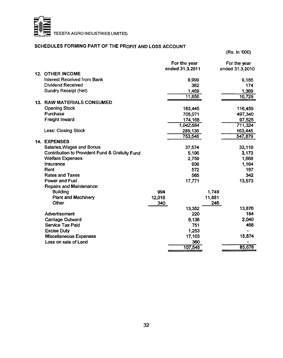

#### **SCHEDULES FORMING PART OF THE PROFIT AND LOSS ACCOUNT**

12. **OTHER INCOME 13. RAW MATERIALS CONSUMED 14. EXPENSES Repairs and Maintenance: Building Plant and Machinery Other Advertisement Carriage Outward Service Tax Paid Excise Duty Miscellaneous Expenses Loss on sale of Land 994 12.018 340 1,749 11,881 246 13,352** 220 **9,136 751 1,253 17,103 360 107,548 For the year<br>ended 31.3.2011 For the year ended 31.3.2011 ended 31.3.2010 Interest Received from Bank 9,999 9,186 Dividend Received 382 174 Sundry Receipt (Net) 11,850 10,729 Opening Stock 163,445 116,459 Purchase 705,071 497,340 Freight Inward 174,168 97,525** *1,042,684 711,324* **Less: Closing Stock 289,136 163,445 753,548 Salaries,Wages and Bonus 37,574 33,119 Contribution to Provident Fund & Gratuity Fund**  $\begin{array}{ccc} 5,196 \\ \hline \end{array}$  **5,196 3,173**<br> **1,668 2.759 1.668 Welfare Expenses**<br>Insurance **Insurance 936 1,164 Rent 572 197 Rates and Taxes 565 342 Power and Fuel 13,876 184 2,040 468 15,874 85,678**

**(Rs. In '000)**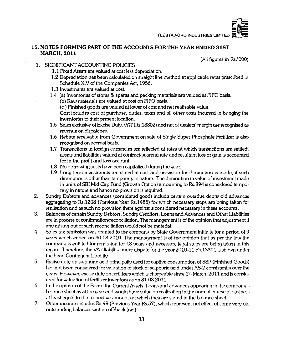### **15. NOTES FORMING PART OF THE ACCOUNTS FOR THE YEAR ENDED 31ST MARCH, 2011**

**(All figures in Rs.'OOO)**

- **1. SIGNIFICANT ACCOUNTING POUCIES**
	- **1.1 Fixed Assets are valued at cost less depreciation.**
	- **1.2 Depreciation has been calculated on straight line method at applicable rates prescribed in Schedule XIV of the Companies Act, 1956.**
	- **1.3 Investments are valued at cost.**
	- **1.4 (a) Inventories of stores & spares and packing materials are valued at FIFO basis.**
		- **(b) Raw materials are valued at cost on FIFO basis.**

**(c ) Finished goods are valued at lower of cost and net realisable value.**

**Cost includes cost of purchase, duties, taxes and all other costs incurred in bringing the inventories to their present location.**

- **1.5 Sales exclusive of Excise Duty, VAT (Rs.13302) and net of dealers' margin are recognised as revenue on dispatches.**
- **1.6 Rebate receivable from Government on sale of Single Super Phosphate Fertilizer is also recognised on accrual basis.**
- **1.7 Transactions in foreign currencies are reflected at rates at which transactions are settled; assets and liabilities valued at contract/yearend rate and resultant loss or gain is accounted for in the profit and loss account.**
- **1.8 No borrowing costs have been capitalized during the year.**
- **1.9 Long term investments are stated at cost and provision for diminution is made, if such diminution is other than temporary in nature. The diminution in value of investment made in units of SBI Mid Cap Fund (Growth Option) amounting to Rs.894 is considered temporary in nature and hence no provision is required.**
- **2. Sundry Debtors and advances (considered good) include certain overdue debts/ old advances aggregating to Rs.l208 (Previous Year Rs.l485) for which necessary steps are being taken for reeilisation and as such no provision there against is considered necessary in these accounts.**
- **3. Balances of certain Sundry Debtors, Sundry Creditors, Loans and Advances and Other Liabilities are in process of confirmation/reconciliation. The management is of the opinion that adjustment if any arising out of such reconciliation would not be material.**
- **4. Sales tax remission was granted to the company by State Government initially for a period of 9 years which ended on 30.03.2010. The management is of the opinion that as per the law the company is entitled for remission for 13 years and necessary legal steps are being taken in this regard. Therefore, the VAT liability under dispute for the year 2010-11 Rs. 13301 is shown under the head Contingent Liability.**
- **5. Excise duty on sulphuric acid principally used for captive consumption of SSP (Finished Goods) has not been considered for valuation of stock of sulphuric acid under AS-2 consistently over the years. However, excise duty on fertilizers which is chargeable since 1st March, 2011 and is considered for valuation of fertilizer inventory as on 31.03.2011**
- 6. In the opinion of the Board the Current Assets, Loans and advances appearing in the company's **balance sheet as at the year end would have value on realization in the normal course of business at least equal to the respective amounts at which they are stated in the balance sheet.**
- **7. Other income includes Rs.99 (Previous Year Rs.57), which represent net effect of some very old outstanding balances written off/back (net).**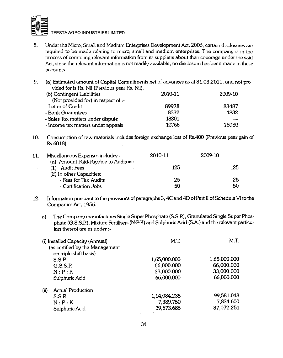

- **8. Under the Micro, Small and Medium Enterprises Development Act, 2006, certain disclosures are required to be made relating to micro, small and medium enterprises. The company is in the process of compiling relevant information from its suppliers about their coverage under the said Act, since the relevant information is not readily available, no disclosure has been made in these accounts.**
- **9. (a) Estimated amount of Capital Commitments net of advances as at 31.03.2011, and not pro vided for is Rs. Nil (Previous year Rs. Nil).**

| (b) Contingent Liabilities          | 2010-11 | 2009-10 |
|-------------------------------------|---------|---------|
| (Not provided for) in respect of :- |         |         |
| - Letter of Credit                  | 89978   | 83487   |
| - Bank Guarantees                   | 8332    | 4832    |
| - Sales Tax matters under dispute   | 13301   |         |
| - Income tax matters under appeals  | 10766   | 15980   |

**Consumption of raw materials includes foreign exchange loss of Rs.400 (Previous year <**  $10.$ **Rs.6018).**

| 11. | Miscellaneous Expenses includes:-<br>(a) Amount Paid/Payable to Auditors: | 2010-11 | 2009-10 |     |
|-----|---------------------------------------------------------------------------|---------|---------|-----|
|     | Audit Fees                                                                | 125     |         | 125 |
|     | (2) In other Capacities:<br>- Fees for Tax Audits                         | 25      |         | 25  |
|     | - Certification Jobs                                                      | 50      |         | 50  |

- **12. Information pursuant to the provisions of paragraphs 3 ,4C and 4D ofPart II of Schedule VI to the Companies Act, 1956.**
	- **a) The Company manufactures Single Super Phosphate (S.S.R), Granulated Single Super Phosphate (G.S.S.R), Mixture Fertilisers (N:P:K) and Sulphuric Acid (S.A.) and the relevant particulars thereof are as under**

| (i) Installed Capacity (Annual)<br>(as certified by the Management | M.T.                   | M.T.         |
|--------------------------------------------------------------------|------------------------|--------------|
| S.S.P.                                                             | 1,65,000.000           | 1,65,000.000 |
| G.S.S.P.                                                           | 66,000.000             | 66,000.000   |
| N : P : K                                                          | 33,000.000             | 33,000.000   |
| Sulphuric Acid                                                     | 66,000.000             | 66,000.000   |
| <b>Actual Production</b>                                           |                        |              |
| S.S.P.                                                             | 1,14,084.235           | 99,581.048   |
| N : P : K                                                          | 7,389.750              | 7,834.600    |
| Sulphuric Acid                                                     | 39,673.686             | 37,072.251   |
|                                                                    | on triple shift basis) |              |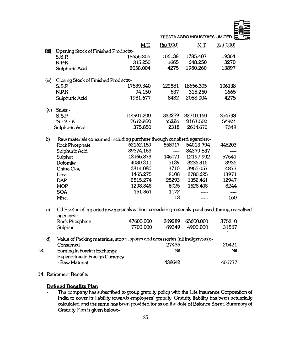| TEESTA AGRO INDUSTRIES LIMITED |  |  |  |
|--------------------------------|--|--|--|
|                                |  |  |  |
|                                |  |  |  |
|                                |  |  |  |

|     |      |                                                                                                                | <b>M.T.</b> | Rs.('000) | <u>M.T.</u> | Rs.('000) |  |
|-----|------|----------------------------------------------------------------------------------------------------------------|-------------|-----------|-------------|-----------|--|
|     | (田)  | Opening Stock of Finished Products:-                                                                           |             |           |             |           |  |
|     |      | S.S.P.                                                                                                         | 18656.305   | 106138    | 1785.407    | 19364     |  |
|     |      | N: P: K                                                                                                        | 315.250     | 1665      | 648.250     | 3270      |  |
|     |      | Sulphuric Acid                                                                                                 | 2058.004    | 4275      | 1980.260    | 13897     |  |
|     | (iv) | Closing Stock of Finished Products:-                                                                           |             |           |             |           |  |
|     |      | <b>S.S.P.</b>                                                                                                  | 17839.340   | 122581    | 18656.305   | 106138    |  |
|     |      | N: P: K                                                                                                        | 94.150      | 637       | 315.250     | 1665      |  |
|     |      | Sulphuric Acid                                                                                                 | 1981.677    | 8432      | 2058.004    | 4275      |  |
|     |      | $(v)$ Sales:-                                                                                                  |             |           |             |           |  |
|     |      | S.S.P.                                                                                                         | 114901.200  | 332239    | 82710.150   | 354798    |  |
|     |      | N:P:K                                                                                                          | 7610.850    | 45281     | 8167.550    | 54901     |  |
|     |      | Sulphuric Acid                                                                                                 | 375.850     | 2318      | 2614.670    | 7348      |  |
|     | b)   | Raw materials consumed including purchase through canalised agencies:-                                         |             |           |             |           |  |
|     |      | Rock Phosphate                                                                                                 | 62162.159   | 558017    | 54013.794   | 446203    |  |
|     |      | Sulphuric Acid                                                                                                 | 39374.163   | ---       | 34379.837   |           |  |
|     |      | Sulphur                                                                                                        | 13166.873   | 146071    | 12197.992   | 57541     |  |
|     |      | Dolomite                                                                                                       | 4080.311    | 5139      | 3236.316    | 3936      |  |
|     |      | China Clay                                                                                                     | 2814.080    | 3710      | 3965.057    | 4877      |  |
|     |      | Urea                                                                                                           | 1465.275    | 8108      | 2780.625    | 13971     |  |
|     |      | <b>DAP</b>                                                                                                     | 2515.274    | 25293     | 1352.461    | 12947     |  |
|     |      | <b>MOP</b>                                                                                                     | 1298.848    | 6025      | 1528.408    | 8244      |  |
|     |      | <b>SOA</b>                                                                                                     | 151.361     | 1172      |             |           |  |
|     |      | Misc.                                                                                                          |             | 13        |             | 160       |  |
|     | c)   | C.I.F. value of imported raw materials without considering materials purchased through canalised<br>agencies:- |             |           |             |           |  |
|     |      | Rock Phosphate                                                                                                 | 47600.000   | 369289    | 65600.000   | 375210    |  |
|     |      | Sulphur                                                                                                        | 7700.000    | 69349     | 4900.000    | 31567     |  |
|     | d)   | Value of Packing materials, stores, spares and accessories (all indigenous):-                                  |             |           |             |           |  |
|     |      | Consumed                                                                                                       |             | 27435     |             | 20421     |  |
| 13. |      | Earning in Foreign Exchange                                                                                    |             | Nil       |             | Nil       |  |
|     |      | Expenditure in Foreign Currency                                                                                |             |           |             |           |  |
|     |      | - Raw Material                                                                                                 |             | 438642    |             | 406777    |  |
|     |      |                                                                                                                |             |           |             |           |  |

**14. Retirement Benefits**

### **Defined Benefits Plan**

**The company has subscribed to group gratuity policy with the Life Insurance Corporation of**  $\bullet$ **India to cover its liability towards employees' gratuity. Gratuity liability has been actuarially calculated and the same has been provided for as on the date of Balance Sheet. Summary of Gratuity Plan is given below;-**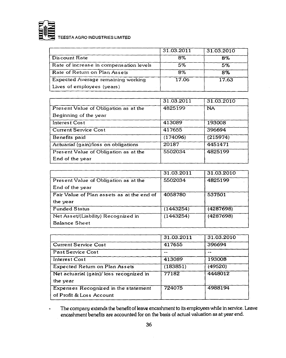

|                                         | 31.03.2011 | 31.03.2010 |
|-----------------------------------------|------------|------------|
| Discount Rate                           | 8%         | 8%         |
| Rate of increase in compensation levels | 5%         | 5%         |
| Rate of Return on Plan Assets           | 8%         | 8%         |
| Expected Average remaining working      | 17.06      | 17.63      |
| Lives of employees (years)              |            |            |

|                                       | 31.03.2011 | 31.03.2010 |
|---------------------------------------|------------|------------|
| Present Value of Obligation as at the | 4825199    | <b>NA</b>  |
| Beginning of the year                 |            |            |
| Interest Cost                         | 413089     | 193008     |
| <b>Current Service Cost</b>           | 417655     | 396694     |
| Benefits paid                         | (174096)   | (215974)   |
| Actuarial (gain)/loss on obligations  | 20187      | 4451471    |
| Present Value of Obligation as at the | 5502034    | 4825199    |
| End of the year                       |            |            |

|                                            | 31.03.2011 | 31.03.2010 |
|--------------------------------------------|------------|------------|
| Present Value of Obligation as at the      | 5502034    | 4825199    |
| End of the year                            |            |            |
| Fair Value of Plan assets as at the end of | 4058780    | 537501     |
| the year                                   |            |            |
| <b>Funded Status</b>                       | (1443254)  | (4287698)  |
| Net Asset/(Liability) Recognized in        | (1443254)  | (4287698)  |
| <b>Balance Sheet</b>                       |            |            |

|                                          | 31.03.2011 | 31.03.2010 |
|------------------------------------------|------------|------------|
| <b>Current Service Cost</b>              | 417655     | 396694     |
| Past Service Cost                        |            |            |
| Interest Cost                            | 413089     | 193008     |
| <b>Expected Return on Plan Assets</b>    | (183851)   | (49520)    |
| Net actuarial (gain)/ loss recognized in | 77182      | 4448012    |
| the year                                 |            |            |
| Expenses Recognized in the statement     | 724075     | 4988194    |
| of Profit & Loss Account                 |            |            |

**The company extends the benefit of leave encashment to its employees while in service. Leave**  $\blacksquare$ **encashment benefits are accounted for on the basis of actual valuation as at year end.**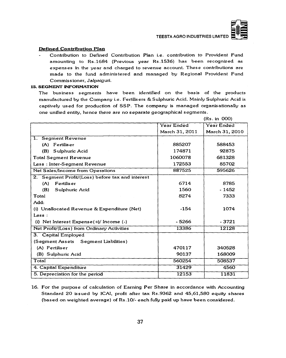

#### Defined Contribution Plan

Contribution to Defined Contribution Plan i.e. contribution to Provident Fund amounting to Rs.1684 (Previous year Rs.1536) has been recognized as expenses in the year and charged to revenue account. These contributions are made to the fund administered and managed by Regional Provident Fund Commissioner, Jalpaiguri.

#### 15. SEGMENT INFORMATION

The business segments have been identified on the basis of the products manufactured by the Company i.e. Fertilisers & Sulphuric Acid. Mainly Sulphuric Acid is captively used for production of SSP. The company is managed organisationally as one unified entity, hence there are no separate geographical segments.

|                                                  |                       | (Rs. in 000)   |
|--------------------------------------------------|-----------------------|----------------|
|                                                  | Year Ended            | Year Ended     |
|                                                  | <b>March 31, 2011</b> | March 31, 2010 |
| 1. Segment Revenue                               |                       |                |
| (A) Fertiliser                                   | 885207                | 588453         |
| (B) Sulphuric Acid                               | 174871                | 92875          |
| <b>Total Segment Revenue</b>                     | 1060078               | 681328         |
| Less: Inter-Segment Revenue                      | 172553                | 85702          |
| Net Sales/Income from Operations                 | 887525                | 595626         |
| 2. Segment Profit/(Loss) before tax and interest |                       |                |
| <b>Fertiliser</b><br>(A)                         | 6714                  | 8785           |
| (B)<br>Sulphuric Acid                            | 1560                  | $-1452$        |
| Total                                            | 8274                  | 7333           |
| Add:                                             |                       |                |
| (i) Unallocated Revenue & Expenditure (Net)      | $-154$                | 1074           |
| $\textsf{Less}:$                                 |                       |                |
| (i) Net Interest $Expense(+)/$ Income $(-)$      | $-5266$               | - 3721         |
| Net Profit/(Loss) from Ordinary Activities       | 13386                 | 12128          |
| 3. Capital Employed                              |                       |                |
| (Segment Assets Segment Liabilities)             |                       |                |
| (A) Fertiliser                                   | 470117                | 340528         |
| (B) Sulphuric Acid                               | 90137                 | 168009         |
| Total                                            | 560254                | 508537         |
| 4. Capital Expenditure                           | 31429                 | 4560           |
| 5. Depreciation for the period                   | 12153                 | 11831          |

16. For the purpose of calculation of Earning Per Share in accordance with Accounting Standard 20 issued by ICAI, profit after tax Rs.9362 and 45,61,580 equity shares (based on weighted average) of Rs.10/- each fully paid up have been considered.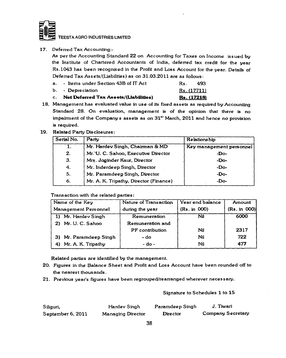

17. Deferred Tax Accounting:-

As per the Accounting Standard 22 on Accounting for Taxes on Income issued by the Institute of Chartered Accountants of India, deferred tax credit for the year Rs. 1043 has been recognised in the Profit and Loss Account for the year. Details of Deferred Tax Assets/(Liabilities) as on 31.03.2011 are as follows:

| a. - Items under Section 43B of IT Act | Rs. 493            |  |
|----------------------------------------|--------------------|--|
| b. - <b>Dep</b> reciation              | <u>Rs. (17711)</u> |  |

- c. Net Deferred Tax Assets/(Liabilities) Rs. (17218)
- 18. Management has evaluated value in use of its fixed assets as required by Accounting Standard 28. On evaluation, management is of the opinion that there is no impairment of the Companys assets as on  $31<sup>st</sup>$  March, 2011 and hence no provision is required.
- 19. Related Party Disclosures:

| Serial No. | Party                                  | Relationship             |
|------------|----------------------------------------|--------------------------|
|            | Mr. Hardev Singh, Chairman & MD        | Key management personnel |
| $\cdot$ 2. | Mr. U. C. Sahoo, Executive Director    | -Do-                     |
| 3.         | Mrs. Joginder Kaur, Director           | -Do-                     |
| 4.         | Mr. Inderdeep Singh, Director          | -Do-                     |
| 5.         | Mr. Paramdeep Singh, Director          | -Do-                     |
| 6.         | Mr. A. K. Tripathy, Director (Finance) | -Do-                     |

Trans action with the related parties:

| Name of the Key        | Nature of Transaction | Year end balance | Amount       |
|------------------------|-----------------------|------------------|--------------|
| Management Personnel   | during the year       | (Rs. in 000)     | (Rs. in 000) |
| 1) Mr. Hardev Singh    | Remuneration          | Nil              | 6000         |
| 2) Mr. U. C. Sahoo     | Remuneration and      |                  |              |
|                        | PF contribution       | Nil              | 2317         |
| 3) Mr. Paramdeep Singh | - do                  | Nil              | 722          |
| 4) Mr. A. K. Tripathy  | $-$ do $-$            | Nil              | 477          |

Related parties are identified by the management.

- 20. Figures in the Balance Sheet and Profit and Loss Account have been rounded off to the nearest thous ands.
- 21. Previous year's figures have been regrouped/rearranged wherever necessary.

Signature to Schedules 1 to 15

| Siliguri,         | Hardev Singh      | Paramdeep Singh | J. Tiwari                |
|-------------------|-------------------|-----------------|--------------------------|
| September 6, 2011 | Managing Director | Director        | <b>Company Secretary</b> |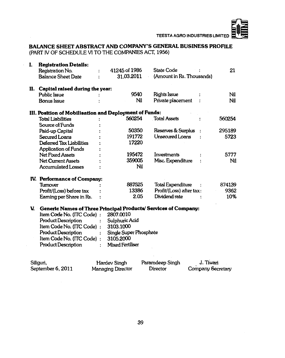### **BALANCE SHEET ABSTRACT AND COMPANY'S GENERAL BUSINESS PROFILE**

**(PART IV OF SCHEDULE VI TO THE COMPANIES ACT, 1956)**

J.

| I.           | <b>Registration Details:</b>                                    |                         |     |                           |           |        |
|--------------|-----------------------------------------------------------------|-------------------------|-----|---------------------------|-----------|--------|
|              | Registration No.                                                | 41245 of 1986           |     | <b>State Code</b>         |           | 21     |
|              | <b>Balance Sheet Date</b>                                       | 31.03.2011              |     | (Amount in Rs. Thousands) |           |        |
| н.           | Capital raised during the year:                                 |                         |     |                           |           |        |
|              | Public Issue                                                    | 9540                    |     | <b>Rights Issue</b>       |           | Nil    |
|              | <b>Bonus Issue</b>                                              | Nil                     |     | Private placement         |           | Nil    |
|              | III. Position of Mobilisation and Deployment of Funds:          |                         |     |                           |           |        |
|              | <b>Total Liabilities</b>                                        | 560254                  |     | <b>Total Assets</b>       |           | 560254 |
|              | Source of Funds                                                 |                         |     |                           |           |        |
|              | Paid-up Capital                                                 | 50350                   |     | Reserves & Surplus        |           | 295189 |
|              | Secured Loans                                                   | 191772                  |     | Unsecured Loans           |           | 5723   |
|              | Deferred Tax Liabilities                                        | 17220                   |     |                           |           |        |
|              | <b>Application of Funds</b>                                     |                         |     |                           |           |        |
|              | <b>Net Fixed Assets</b>                                         | 195472                  |     | Investments               |           | 5777   |
|              | <b>Net Current Assets</b>                                       | 359005                  |     | Misc. Expenditure         |           | Nil    |
|              | <b>Accumulated Losses</b>                                       |                         | Nil |                           |           |        |
|              | IV. Performance of Company:                                     |                         |     |                           |           |        |
|              | Turnover                                                        | 887525                  |     | <b>Total Expenditure</b>  |           | 874139 |
|              | Profit/(Loss) before tax                                        | 13386                   |     | Profit/(Loss) after tax:  |           | 9362   |
|              | Earning per Share in Rs.                                        | 2.05                    |     | Dividend rate             |           | 10%    |
| $\mathbf{v}$ | Generic Names of Three Principal Products/ Services of Company: |                         |     |                           |           |        |
|              | Item Code No. (ITC Code) :                                      | 2807.0010               |     |                           |           |        |
|              | <b>Product Description</b>                                      | Sulphuric Acid          |     |                           |           |        |
|              | Item Code No. (ITC Code) :                                      | 3103.1000               |     |                           |           |        |
|              | <b>Product Description</b>                                      | Single Super Phosphate  |     |                           |           |        |
|              | Item Code No. (ITC Code) :                                      | 3105.2000               |     |                           |           |        |
|              | <b>Product Description</b>                                      | <b>Mixed Fertiliser</b> |     |                           |           |        |
|              | Siliguri,                                                       | Hardev Singh            |     | Paramdeep Singh           | J. Tiwari |        |
|              |                                                                 |                         |     |                           |           |        |

| ------            |                          |          | ---------         |
|-------------------|--------------------------|----------|-------------------|
| September 6, 2011 | <b>Managing Director</b> | Director | Company Secretary |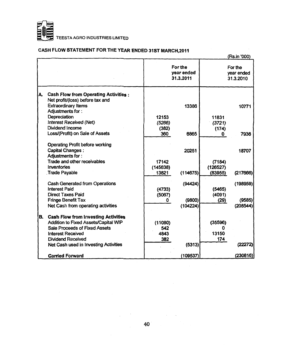

### **CASH FLOW STATEMENT FOR THE YEAR ENDED 31ST MARCH,2011**

|    |                                             |          |                                    |          | (Rs.in '000)                       |
|----|---------------------------------------------|----------|------------------------------------|----------|------------------------------------|
|    |                                             |          | For the<br>vear ended<br>31.3.2011 |          | For the<br>vear ended<br>31.3.2010 |
| А. | <b>Cash Flow from Operating Activities:</b> |          |                                    |          |                                    |
|    | Net profit/(loss) before tax and            |          |                                    |          |                                    |
|    | <b>Extraordinary Items</b>                  |          | 13386                              |          | 10771                              |
|    | Adjustments for:                            |          |                                    |          |                                    |
|    | Depreciation                                | 12153    |                                    | 11831    |                                    |
|    | Interest Received (Net)                     | (5266)   |                                    | (3721)   |                                    |
|    | Dividend Income                             | (382)    |                                    | (174)    |                                    |
|    | Loss/(Profit) on Sale of Assets             | 360      | 6865                               | 0.       | 7936                               |
|    | Operating Profit before working             |          |                                    |          |                                    |
|    | <b>Capital Changes:</b>                     |          | 20251                              |          | 18707                              |
|    | Adjustments for:                            |          |                                    |          |                                    |
|    | Trade and other receivables                 | 17142    |                                    | (7184)   |                                    |
|    | Inventories                                 | (145638) |                                    | (126527) |                                    |
|    | Trade Payable                               | 13821    | (114675)                           | (83955)  | (217666)                           |
|    | Cash Generated from Operations              |          | (94424)                            |          | (198959)                           |
|    | <b>Interest Paid</b>                        | (4733)   |                                    | (5465)   |                                    |
|    | <b>Direct Taxes Paid</b>                    | (5067)   |                                    | (4091)   |                                    |
|    | <b>Fringe Benefit Tax</b>                   | 0        | (9800)                             | (29)     | (9585)                             |
|    | Net Cash from operating activities          |          | (104224)                           |          | (208544)                           |
| В. | <b>Cash Flow from Investing Activities</b>  |          |                                    |          |                                    |
|    | Addition to Fixed Assets/Capital WIP        | (11080)  |                                    | (35596)  |                                    |
|    | Sale Proceeds of Fixed Assets               | 542      |                                    |          |                                    |
|    | <b>Interest Received</b>                    | 4843     |                                    | 13150    |                                    |
|    | Dividend Received                           | 382      |                                    | 174      |                                    |
|    | Net Cash used in Investing Activities       |          | (5313)                             |          | (22272)                            |
|    | <b>Carried Forward</b>                      |          | (109537)                           |          | (230816)                           |

 $\label{eq:2.1} \frac{1}{\sqrt{2\pi}}\int_{0}^{\infty}\frac{1}{\sqrt{2\pi}}\left(\frac{1}{\sqrt{2\pi}}\right)^{2\pi}d\mu$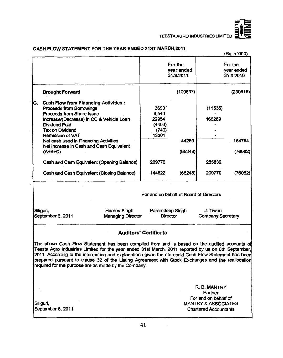

|                                                                                                                                                                                                                                                                                                                                                                                                                                                                          |                                                 |                                                                        |                                         |                                                         | (Rs.in '000)                       |
|--------------------------------------------------------------------------------------------------------------------------------------------------------------------------------------------------------------------------------------------------------------------------------------------------------------------------------------------------------------------------------------------------------------------------------------------------------------------------|-------------------------------------------------|------------------------------------------------------------------------|-----------------------------------------|---------------------------------------------------------|------------------------------------|
|                                                                                                                                                                                                                                                                                                                                                                                                                                                                          |                                                 |                                                                        | For the<br>year ended<br>31.3.2011      |                                                         | For the<br>year ended<br>31.3.2010 |
| <b>Brought Forward</b>                                                                                                                                                                                                                                                                                                                                                                                                                                                   |                                                 |                                                                        | (109537)                                |                                                         | (230816)                           |
| C.<br><b>Cash Flow from Financing Activities:</b><br>Proceeds from Borrowings<br><b>Proceeds from Share Issue</b><br>Increase/(Decrease) in CC & Vehicle Loan<br><b>Dividend Paid</b><br>Tax on Dividend<br><b>Remission of VAT</b><br>Net cash used in Financing Activities<br>Net increase in Cash and Cash Equivalent<br>$(A+ B+C)$<br>Cash and Cash Equivalent (Opening Balance)<br>Cash and Cash Equivalent (Closing Balance)                                       |                                                 | 3690<br>9,540<br>22954<br>(4456)<br>(740)<br>13301<br>209770<br>144522 | 44289<br>(65248)<br>(65248)             | (11535)<br>166289<br>$\blacksquare$<br>285832<br>209770 | 154754<br>(76062)<br>(76062)       |
|                                                                                                                                                                                                                                                                                                                                                                                                                                                                          |                                                 |                                                                        | For and on behalf of Board of Directors |                                                         |                                    |
| Siliguri,<br>September 6, 2011                                                                                                                                                                                                                                                                                                                                                                                                                                           | <b>Hardev Singh</b><br><b>Managing Director</b> |                                                                        | Paramdeep Singh<br><b>Director</b>      | J. Tiwari<br><b>Company Secretary</b>                   |                                    |
|                                                                                                                                                                                                                                                                                                                                                                                                                                                                          |                                                 | <b>Auditors' Certificate</b>                                           |                                         |                                                         |                                    |
| The above Cash Flow Statement has been compiled from and is based on the audited accounts of<br>Teesta Agro Industries Limited for the year ended 31st March, 2011 reported by us on 6th September,<br>2011. According to the information and explanations given the aforesaid Cash Flow Statement has been<br>prepared pursuant to clause 32 of the Listing Agreement with Stock Exchanges and the reallocation<br>required for the purpose are as made by the Company. |                                                 |                                                                        |                                         |                                                         |                                    |
|                                                                                                                                                                                                                                                                                                                                                                                                                                                                          |                                                 |                                                                        |                                         | R. B. MANTRY<br>Partner<br>For and on behalf of         |                                    |
| Siliguri,                                                                                                                                                                                                                                                                                                                                                                                                                                                                |                                                 |                                                                        |                                         | <b>MANTRY &amp; ASSOCIATES</b>                          |                                    |

### CASH FLOW STATEMENT FOR THE YEAR ENDED 31ST MARCH, 2011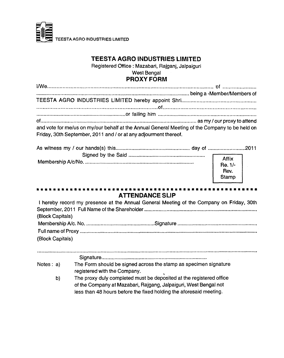

### **TEESTA AGRO INDUSTRIES LIMITED**

**Registered Office : Mazabari, Rajganj, Jalpaiguri**

### **West Bengal**

### **PROXY FORM**

| and vote for me/us on my/our behalf at the Annual General Meeting of the Company to be held on |  |
|------------------------------------------------------------------------------------------------|--|
| Friday, 30th September, 2011 and / or at any adjourment thereof.                               |  |
|                                                                                                |  |

| Affix<br>Re. 1/-<br>Rev.<br>Stamp |
|-----------------------------------|

### . . . . . . **ATTENDANCE SLIP**

| I hereby record my presence at the Annual General Meeting of the Company on Friday, 30th |  |
|------------------------------------------------------------------------------------------|--|
|                                                                                          |  |
| (Block Capitals)                                                                         |  |
|                                                                                          |  |
|                                                                                          |  |
| (Block Capitals)                                                                         |  |

| Notes: a) | The Form should be signed across the stamp as specimen signature    |
|-----------|---------------------------------------------------------------------|
|           | registered with the Company.                                        |
| b)        | The proxy duly completed must be deposited at the registered office |
|           | of the Company at Mazabari, Rajgang, Jalpaiguri, West Bengal not    |
|           | less than 48 hours before the fixed holding the aforesaid meeting.  |